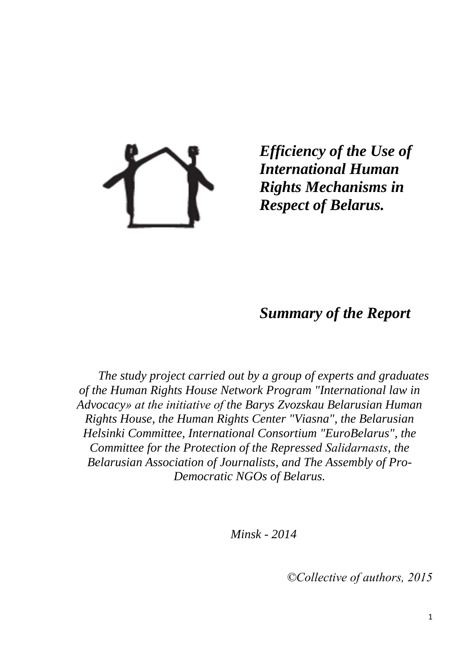

*Efficiency of the Use of International Human Rights Mechanisms in Respect of Belarus.*

# *Summary of the Report*

*The study project carried out by a group of experts and graduates of the Human Rights House Network Program "International law in Advocacy» at the initiative of the Barys Zvozskau Belarusian Human Rights House, the Human Rights Center "Viasna", the Belarusian Helsinki Committee, International Consortium "EuroBelarus", the Committee for the Protection of the Repressed Salіdarnasts, the Belarusian Association of Journalists, and The Assembly of Pro-Democratic NGOs of Belarus.*

*Minsk - 2014*

*©Collective of authors, 2015*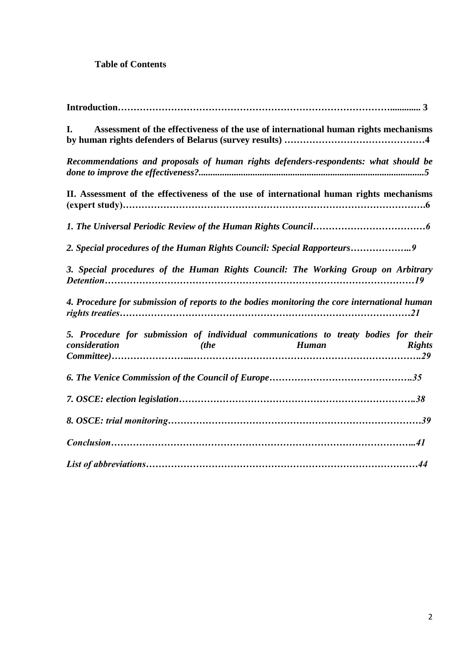# **Table of Contents**

| I.                                                                                                   |      | Assessment of the effectiveness of the use of international human rights mechanisms |               |
|------------------------------------------------------------------------------------------------------|------|-------------------------------------------------------------------------------------|---------------|
| Recommendations and proposals of human rights defenders-respondents: what should be                  |      |                                                                                     |               |
| II. Assessment of the effectiveness of the use of international human rights mechanisms              |      |                                                                                     |               |
|                                                                                                      |      |                                                                                     |               |
| 2. Special procedures of the Human Rights Council: Special Rapporteurs9                              |      |                                                                                     |               |
| 3. Special procedures of the Human Rights Council: The Working Group on Arbitrary                    |      |                                                                                     |               |
| 4. Procedure for submission of reports to the bodies monitoring the core international human         |      |                                                                                     |               |
| 5. Procedure for submission of individual communications to treaty bodies for their<br>consideration | (the | Human                                                                               | <b>Rights</b> |
|                                                                                                      |      |                                                                                     |               |
|                                                                                                      |      |                                                                                     |               |
|                                                                                                      |      |                                                                                     |               |
|                                                                                                      |      |                                                                                     |               |
|                                                                                                      |      |                                                                                     |               |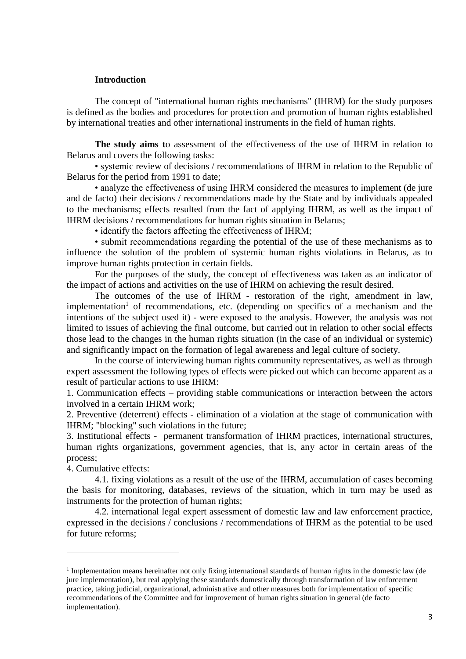#### **Introduction**

The concept of "international human rights mechanisms" (IHRM) for the study purposes is defined as the bodies and procedures for protection and promotion of human rights established by international treaties and other international instruments in the field of human rights.

**The study aims t**o assessment of the effectiveness of the use of IHRM in relation to Belarus and covers the following tasks:

• systemic review of decisions / recommendations of IHRM in relation to the Republic of Belarus for the period from 1991 to date;

• analyze the effectiveness of using IHRM considered the measures to implement (de jure and de facto) their decisions / recommendations made by the State and by individuals appealed to the mechanisms; effects resulted from the fact of applying IHRM, as well as the impact of IHRM decisions / recommendations for human rights situation in Belarus;

• identify the factors affecting the effectiveness of IHRM;

• submit recommendations regarding the potential of the use of these mechanisms as to influence the solution of the problem of systemic human rights violations in Belarus, as to improve human rights protection in certain fields.

For the purposes of the study, the concept of effectiveness was taken as an indicator of the impact of actions and activities on the use of IHRM on achieving the result desired.

The outcomes of the use of IHRM - restoration of the right, amendment in law, implementation<sup>1</sup> of recommendations, etc. (depending on specifics of a mechanism and the intentions of the subject used it) - were exposed to the analysis. However, the analysis was not limited to issues of achieving the final outcome, but carried out in relation to other social effects those lead to the changes in the human rights situation (in the case of an individual or systemic) and significantly impact on the formation of legal awareness and legal culture of society.

In the course of interviewing human rights community representatives, as well as through expert assessment the following types of effects were picked out which can become apparent as a result of particular actions to use IHRM:

1. Communication effects – providing stable communications or interaction between the actors involved in a certain IHRM work;

2. Preventive (deterrent) effects - elimination of a violation at the stage of communication with IHRM; "blocking" such violations in the future;

3. Institutional effects - permanent transformation of IHRM practices, international structures, human rights organizations, government agencies, that is, any actor in certain areas of the process;

4. Cumulative effects:

1

4.1. fixing violations as a result of the use of the IHRM, accumulation of cases becoming the basis for monitoring, databases, reviews of the situation, which in turn may be used as instruments for the protection of human rights;

4.2. international legal expert assessment of domestic law and law enforcement practice, expressed in the decisions / conclusions / recommendations of IHRM as the potential to be used for future reforms;

<sup>&</sup>lt;sup>1</sup> Implementation means hereinafter not only fixing international standards of human rights in the domestic law (de jure implementation), but real applying these standards domestically through transformation of law enforcement practice, taking judicial, organizational, administrative and other measures both for implementation of specific recommendations of the Committee and for improvement of human rights situation in general (de facto implementation).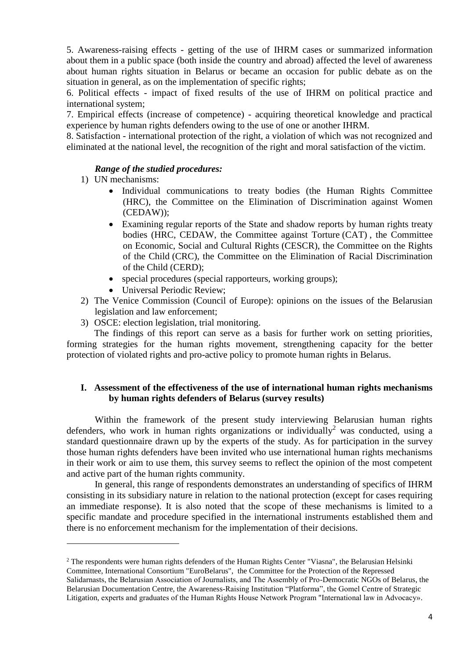5. Awareness-raising effects - getting of the use of IHRM cases or summarized information about them in a public space (both inside the country and abroad) affected the level of awareness about human rights situation in Belarus or became an occasion for public debate as on the situation in general, as on the implementation of specific rights;

6. Political effects - impact of fixed results of the use of IHRM on political practice and international system;

7. Empirical effects (increase of competence) - acquiring theoretical knowledge and practical experience by human rights defenders owing to the use of one or another IHRM.

8. Satisfaction - international protection of the right, a violation of which was not recognized and eliminated at the national level, the recognition of the right and moral satisfaction of the victim.

# *Range of the studied procedures:*

1) UN mechanisms:

1

- Individual communications to treaty bodies (the Human Rights Committee (HRC), the [Committee on the Elimination of Discrimination against Women](http://www.ohchr.org/en/hrbodies/cedaw/pages/cedawindex.aspx) (CEDAW));
- Examining regular reports of the State and shadow reports by human rights treaty bodies (HRC, CEDAW, the [Committee against Torture](http://www.ohchr.org/en/hrbodies/cat/pages/catindex.aspx) (CAT) , the [Committee](http://www.ohchr.org/en/hrbodies/cescr/pages/cescrindex.aspx)  [on Economic, Social and Cultural Rights](http://www.ohchr.org/en/hrbodies/cescr/pages/cescrindex.aspx) (CESCR), the [Committee on the Rights](http://www.ohchr.org/EN/HRBodies/CRC/Pages/CRCIndex.aspx)  [of the Child](http://www.ohchr.org/EN/HRBodies/CRC/Pages/CRCIndex.aspx) (CRC), the [Committee on the Elimination of Racial Discrimination](http://www.ohchr.org/EN/HRBodies/CRC/Pages/CRCIndex.aspx) [of the Child](http://www.ohchr.org/EN/HRBodies/CRC/Pages/CRCIndex.aspx) (CERD);
- special procedures (special rapporteurs, working groups);
- Universal Periodic Review:
- 2) The Venice Commission (Council of Europe): opinions on the issues of the Belarusian legislation and law enforcement;
- 3) OSCE: election legislation, trial monitoring.

The findings of this report can serve as a basis for further work on setting priorities, forming strategies for the human rights movement, strengthening capacity for the better protection of violated rights and pro-active policy to promote human rights in Belarus.

# **I. Assessment of the effectiveness of the use of international human rights mechanisms by human rights defenders of Belarus (survey results)**

Within the framework of the present study interviewing Belarusian human rights defenders, who work in human rights organizations or individually<sup>2</sup> was conducted, using a standard questionnaire drawn up by the experts of the study. As for participation in the survey those human rights defenders have been invited who use international human rights mechanisms in their work or aim to use them, this survey seems to reflect the opinion of the most competent and active part of the human rights community.

In general, this range of respondents demonstrates an understanding of specifics of IHRM consisting in its subsidiary nature in relation to the national protection (except for cases requiring an immediate response). It is also noted that the scope of these mechanisms is limited to a specific mandate and procedure specified in the international instruments established them and there is no enforcement mechanism for the implementation of their decisions.

 $2$  The respondents were human rights defenders of the Human Rights Center "Viasna", the Belarusian Helsinki Committee, International Consortium "EuroBelarus", the Committee for the Protection of the Repressed Salіdarnasts, the Belarusian Association of Journalists, and The Assembly of Pro-Democratic NGOs of Belarus, the Belarusian Documentation Centre, the Awareness-Raising Institution "Platforma", the Gomel Centre of Strategic Litigation, experts and graduates of the Human Rights House Network Program "International law in Advocacy».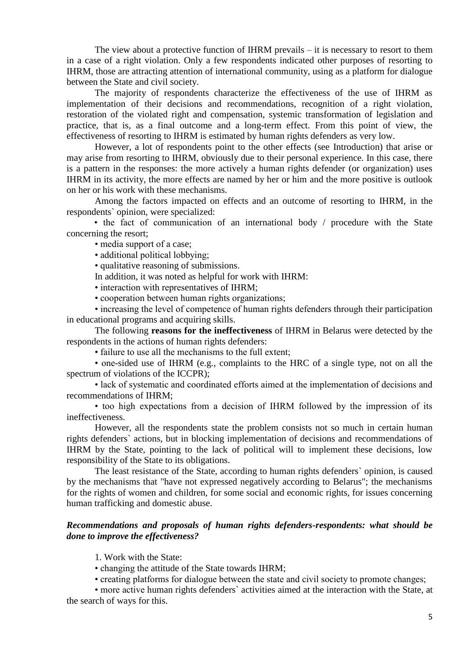The view about a protective function of IHRM prevails – it is necessary to resort to them in a case of a right violation. Only a few respondents indicated other purposes of resorting to IHRM, those are attracting attention of international community, using as a platform for dialogue between the State and civil society.

The majority of respondents characterize the effectiveness of the use of IHRM as implementation of their decisions and recommendations, recognition of a right violation, restoration of the violated right and compensation, systemic transformation of legislation and practice, that is, as a final outcome and a long-term effect. From this point of view, the effectiveness of resorting to IHRM is estimated by human rights defenders as very low.

However, a lot of respondents point to the other effects (see Introduction) that arise or may arise from resorting to IHRM, obviously due to their personal experience. In this case, there is a pattern in the responses: the more actively a human rights defender (or organization) uses IHRM in its activity, the more effects are named by her or him and the more positive is outlook on her or his work with these mechanisms.

Among the factors impacted on effects and an outcome of resorting to IHRM, in the respondents` opinion, were specialized:

• the fact of communication of an international body / procedure with the State concerning the resort;

• media support of a case:

• additional political lobbying;

• qualitative reasoning of submissions.

In addition, it was noted as helpful for work with IHRM:

• interaction with representatives of IHRM;

• cooperation between human rights organizations;

• increasing the level of competence of human rights defenders through their participation in educational programs and acquiring skills.

The following **reasons for the ineffectiveness** of IHRM in Belarus were detected by the respondents in the actions of human rights defenders:

• failure to use all the mechanisms to the full extent;

• one-sided use of IHRM (e.g., complaints to the HRC of a single type, not on all the spectrum of violations of the ICCPR);

• lack of systematic and coordinated efforts aimed at the implementation of decisions and recommendations of IHRM;

• too high expectations from a decision of IHRM followed by the impression of its ineffectiveness.

However, all the respondents state the problem consists not so much in certain human rights defenders` actions, but in blocking implementation of decisions and recommendations of IHRM by the State, pointing to the lack of political will to implement these decisions, low responsibility of the State to its obligations.

The least resistance of the State, according to human rights defenders` opinion, is caused by the mechanisms that "have not expressed negatively according to Belarus"; the mechanisms for the rights of women and children, for some social and economic rights, for issues concerning human trafficking and domestic abuse.

# *Recommendations and proposals of human rights defenders-respondents: what should be done to improve the effectiveness?*

1. Work with the State:

• changing the attitude of the State towards IHRM;

• creating platforms for dialogue between the state and civil society to promote changes;

• more active human rights defenders` activities aimed at the interaction with the State, at the search of ways for this.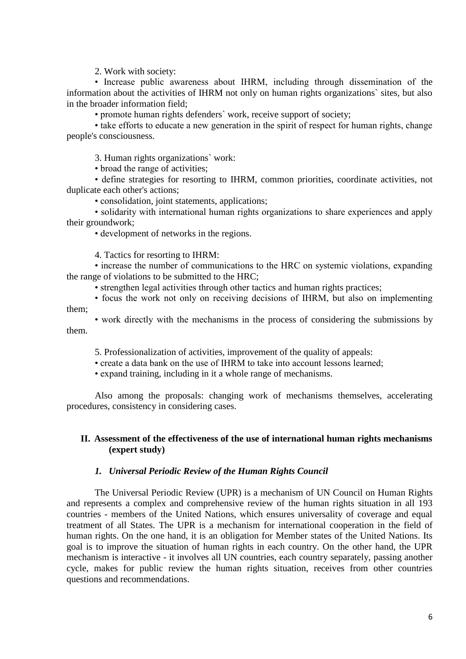2. Work with society:

• Increase public awareness about IHRM, including through dissemination of the information about the activities of IHRM not only on human rights organizations` sites, but also in the broader information field;

• promote human rights defenders` work, receive support of society;

• take efforts to educate a new generation in the spirit of respect for human rights, change people's consciousness.

3. Human rights organizations` work:

• broad the range of activities:

• define strategies for resorting to IHRM, common priorities, coordinate activities, not duplicate each other's actions;

• consolidation, joint statements, applications;

• solidarity with international human rights organizations to share experiences and apply their groundwork;

• development of networks in the regions.

4. Tactics for resorting to IHRM:

• increase the number of communications to the HRC on systemic violations, expanding the range of violations to be submitted to the HRC;

• strengthen legal activities through other tactics and human rights practices;

• focus the work not only on receiving decisions of IHRM, but also on implementing them;

• work directly with the mechanisms in the process of considering the submissions by them.

5. Professionalization of activities, improvement of the quality of appeals:

• create a data bank on the use of IHRM to take into account lessons learned;

• expand training, including in it a whole range of mechanisms.

Also among the proposals: changing work of mechanisms themselves, accelerating procedures, consistency in considering cases.

### **II. Assessment of the effectiveness of the use of international human rights mechanisms (expert study)**

#### *1. Universal Periodic Review of the Human Rights Council*

The Universal Periodic Review (UPR) is a mechanism of UN Council on Human Rights and represents a complex and comprehensive review of the human rights situation in all 193 countries - members of the United Nations, which ensures universality of coverage and equal treatment of all States. The UPR is a mechanism for international cooperation in the field of human rights. On the one hand, it is an obligation for Member states of the United Nations. Its goal is to improve the situation of human rights in each country. On the other hand, the UPR mechanism is interactive - it involves all UN countries, each country separately, passing another cycle, makes for public review the human rights situation, receives from other countries questions and recommendations.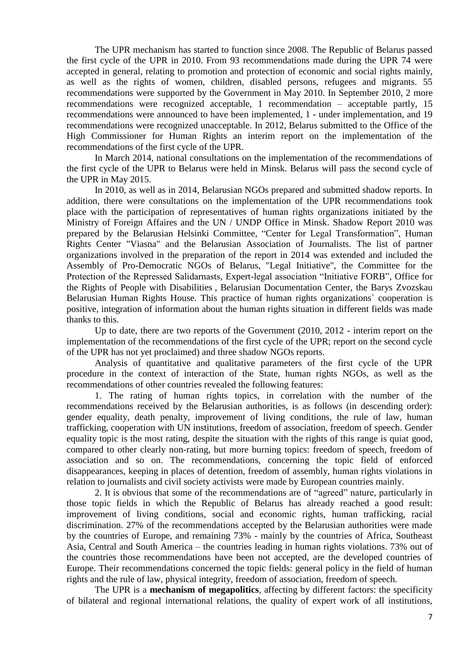The UPR mechanism has started to function since 2008. The Republic of Belarus passed the first cycle of the UPR in 2010. From 93 recommendations made during the UPR 74 were accepted in general, relating to promotion and protection of economic and social rights mainly, as well as the rights of women, children, disabled persons, refugees and migrants. 55 recommendations were supported by the Government in May 2010. In September 2010, 2 more recommendations were recognized acceptable, 1 recommendation – acceptable partly, 15 recommendations were announced to have been implemented, 1 - under implementation, and 19 recommendations were recognized unacceptable. In 2012, Belarus submitted to the Office of the High Commissioner for Human Rights an interim report on the implementation of the recommendations of the first cycle of the UPR.

In March 2014, national consultations on the implementation of the recommendations of the first cycle of the UPR to Belarus were held in Minsk. Belarus will pass the second cycle of the UPR in May 2015.

In 2010, as well as in 2014, Belarusian NGOs prepared and submitted shadow reports. In addition, there were consultations on the implementation of the UPR recommendations took place with the participation of representatives of human rights organizations initiated by the Ministry of Foreign Affaires and the UN / UNDP Office in Minsk. Shadow Report 2010 was prepared by the Belarusian Helsinki Committee, "Center for Legal Transformation", Human Rights Center "Viasna" and the Belarusian Association of Journalists. The list of partner organizations involved in the preparation of the report in 2014 was extended and included the Assembly of Pro-Democratic NGOs of Belarus, "Legal Initiative", the Committee for the Protection of the Repressed Salіdarnasts, Expert-legal association "Initiative FORB", Office for the Rights of People with Disabilities , Belarusian Documentation Center, the Barys Zvozskau Belarusian Human Rights House. This practice of human rights organizations` cooperation is positive, integration of information about the human rights situation in different fields was made thanks to this.

Up to date, there are two reports of the Government (2010, 2012 - interim report on the implementation of the recommendations of the first cycle of the UPR; report on the second cycle of the UPR has not yet proclaimed) and three shadow NGOs reports.

Analysis of quantitative and qualitative parameters of the first cycle of the UPR procedure in the context of interaction of the State, human rights NGOs, as well as the recommendations of other countries revealed the following features:

1. The rating of human rights topics, in correlation with the number of the recommendations received by the Belarusian authorities, is as follows (in descending order): gender equality, death penalty, improvement of living conditions, the rule of law, human trafficking, cooperation with UN institutions, freedom of association, freedom of speech. Gender equality topic is the most rating, despite the situation with the rights of this range is quiat good, compared to other clearly non-rating, but more burning topics: freedom of speech, freedom of association and so on. The recommendations, concerning the topic field of enforced disappearances, keeping in places of detention, freedom of assembly, human rights violations in relation to journalists and civil society activists were made by European countries mainly.

2. It is obvious that some of the recommendations are of "agreed" nature, particularly in those topic fields in which the Republic of Belarus has already reached a good result: improvement of living conditions, social and economic rights, human trafficking, racial discrimination. 27% of the recommendations accepted by the Belarusian authorities were made by the countries of Europe, and remaining 73% - mainly by the countries of Africa, Southeast Asia, Central and South America – the countries leading in human rights violations. 73% out of the countries those recommendations have been not accepted, are the developed countries of Europe. Their recommendations concerned the topic fields: general policy in the field of human rights and the rule of law, physical integrity, freedom of association, freedom of speech.

The UPR is a **mechanism of megapolitics**, affecting by different factors: the specificity of bilateral and regional international relations, the quality of expert work of all institutions,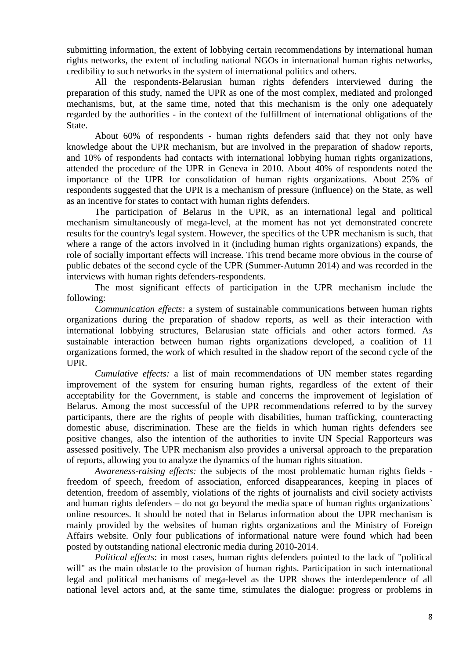submitting information, the extent of lobbying certain recommendations by international human rights networks, the extent of including national NGOs in international human rights networks, credibility to such networks in the system of international politics and others.

All the respondents-Belarusian human rights defenders interviewed during the preparation of this study, named the UPR as one of the most complex, mediated and prolonged mechanisms, but, at the same time, noted that this mechanism is the only one adequately regarded by the authorities - in the context of the fulfillment of international obligations of the State.

About 60% of respondents - human rights defenders said that they not only have knowledge about the UPR mechanism, but are involved in the preparation of shadow reports, and 10% of respondents had contacts with international lobbying human rights organizations, attended the procedure of the UPR in Geneva in 2010. About 40% of respondents noted the importance of the UPR for consolidation of human rights organizations. About 25% of respondents suggested that the UPR is a mechanism of pressure (influence) on the State, as well as an incentive for states to contact with human rights defenders.

The participation of Belarus in the UPR, as an international legal and political mechanism simultaneously of mega-level, at the moment has not yet demonstrated concrete results for the country's legal system. However, the specifics of the UPR mechanism is such, that where a range of the actors involved in it (including human rights organizations) expands, the role of socially important effects will increase. This trend became more obvious in the course of public debates of the second cycle of the UPR (Summer-Autumn 2014) and was recorded in the interviews with human rights defenders-respondents.

The most significant effects of participation in the UPR mechanism include the following:

*Communication effects:* a system of sustainable communications between human rights organizations during the preparation of shadow reports, as well as their interaction with international lobbying structures, Belarusian state officials and other actors formed. As sustainable interaction between human rights organizations developed, a coalition of 11 organizations formed, the work of which resulted in the shadow report of the second cycle of the UPR.

*Cumulative effects:* a list of main recommendations of UN member states regarding improvement of the system for ensuring human rights, regardless of the extent of their acceptability for the Government, is stable and concerns the improvement of legislation of Belarus. Among the most successful of the UPR recommendations referred to by the survey participants, there are the rights of people with disabilities, human trafficking, counteracting domestic abuse, discrimination. These are the fields in which human rights defenders see positive changes, also the intention of the authorities to invite UN Special Rapporteurs was assessed positively. The UPR mechanism also provides a universal approach to the preparation of reports, allowing you to analyze the dynamics of the human rights situation.

*Awareness-raising effects:* the subjects of the most problematic human rights fields freedom of speech, freedom of association, enforced disappearances, keeping in places of detention, freedom of assembly, violations of the rights of journalists and civil society activists and human rights defenders – do not go beyond the media space of human rights organizations` online resources. It should be noted that in Belarus information about the UPR mechanism is mainly provided by the websites of human rights organizations and the Ministry of Foreign Affairs website. Only four publications of informational nature were found which had been posted by outstanding national electronic media during 2010-2014.

*Political effects*: in most cases, human rights defenders pointed to the lack of "political will" as the main obstacle to the provision of human rights. Participation in such international legal and political mechanisms of mega-level as the UPR shows the interdependence of all national level actors and, at the same time, stimulates the dialogue: progress or problems in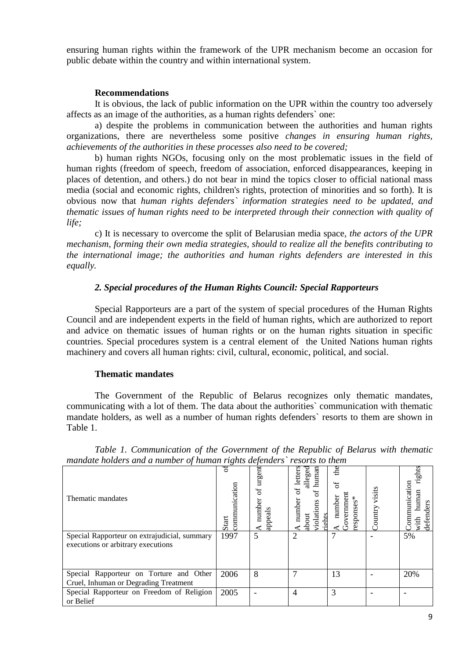ensuring human rights within the framework of the UPR mechanism become an occasion for public debate within the country and within international system.

#### **Recommendations**

It is obvious, the lack of public information on the UPR within the country too adversely affects as an image of the authorities, as a human rights defenders` one:

a) despite the problems in communication between the authorities and human rights organizations, there are nevertheless some positive *changes in ensuring human rights, achievements of the authorities in these processes also need to be covered;*

b) human rights NGOs, focusing only on the most problematic issues in the field of human rights (freedom of speech, freedom of association, enforced disappearances, keeping in places of detention, and others.) do not bear in mind the topics closer to official national mass media (social and economic rights, children's rights, protection of minorities and so forth). It is obvious now that *human rights defenders` information strategies need to be updated, and thematic issues of human rights need to be interpreted through their connection with quality of life;*

c) It is necessary to overcome the split of Belarusian media space, *the actors of the UPR mechanism, forming their own media strategies, should to realize all the benefits contributing to the international image; the authorities and human rights defenders are interested in this equally.*

### *2. Special procedures of the Human Rights Council: Special Rapporteurs*

Special Rapporteurs are a part of the system of special procedures of the Human Rights Council and are independent experts in the field of human rights, which are authorized to report and advice on thematic issues of human rights or on the human rights situation in specific countries. Special procedures system is a central element of the United Nations human rights machinery and covers all human rights: civil, cultural, economic, political, and social.

### **Thematic mandates**

The Government of the Republic of Belarus recognizes only thematic mandates, communicating with a lot of them. The data about the authorities` communication with thematic mandate holders, as well as a number of human rights defenders` resorts to them are shown in Table 1.

| mandale notaers and a number of numan rights acjenacis "resorts to them" |                        |                                       |                                                                                                     |                                                |                |                                                            |
|--------------------------------------------------------------------------|------------------------|---------------------------------------|-----------------------------------------------------------------------------------------------------|------------------------------------------------|----------------|------------------------------------------------------------|
| Thematic mandates                                                        | communication<br>Start | $\arg \sin$<br>đ<br>number<br>appeals | human<br>letters<br>alleged<br>$\sigma$<br>ЪÇ<br>number<br>$\sin$<br>violati<br>about<br><b>pht</b> | £<br>5<br>Govermanen<br>number<br>sponses<br>6 | isits<br>untry | ghts<br><b>Communication</b><br>numan<br>defenders<br>with |
| Special Rapporteur on extrajudicial, summary                             | 1997                   | 5                                     | $\overline{c}$                                                                                      |                                                |                | 5%                                                         |
| executions or arbitrary executions                                       |                        |                                       |                                                                                                     |                                                |                |                                                            |
|                                                                          |                        |                                       |                                                                                                     |                                                |                |                                                            |
| Special Rapporteur on Torture and Other                                  | 2006                   | 8                                     | 7                                                                                                   | 13                                             |                | 20%                                                        |
| Cruel, Inhuman or Degrading Treatment                                    |                        |                                       |                                                                                                     |                                                |                |                                                            |
| Special Rapporteur on Freedom of Religion                                | 2005                   |                                       | 4                                                                                                   | 3                                              |                |                                                            |
| or Belief                                                                |                        |                                       |                                                                                                     |                                                |                |                                                            |

*Table 1. Communication of the Government of the Republic of Belarus with thematic mandate holders and a number of human rights defenders` resorts to them*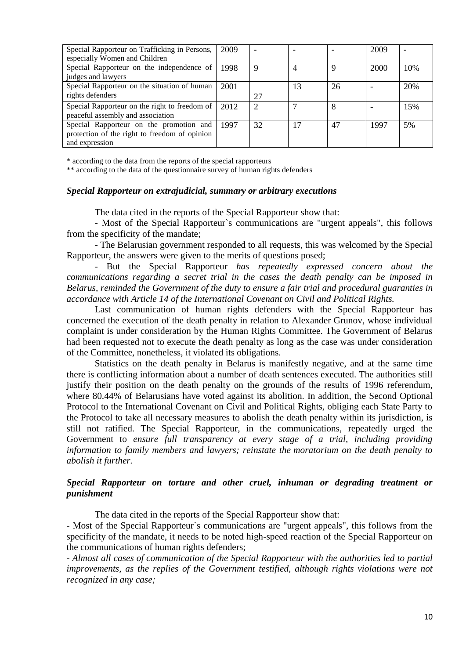| Special Rapporteur on Trafficking in Persons,<br>especially Women and Children                             | 2009 |    | ۰  |    | 2009 |     |
|------------------------------------------------------------------------------------------------------------|------|----|----|----|------|-----|
| Special Rapporteur on the independence of<br>judges and lawyers                                            | 1998 | 9  | 4  | 9  | 2000 | 10% |
| Special Rapporteur on the situation of human<br>rights defenders                                           | 2001 | 27 | 13 | 26 |      | 20% |
| Special Rapporteur on the right to freedom of<br>peaceful assembly and association                         | 2012 |    |    | 8  |      | 15% |
| Special Rapporteur on the promotion and<br>protection of the right to freedom of opinion<br>and expression | 1997 | 32 |    | 47 | 1997 | 5%  |

\* according to the data from the reports of the special rapporteurs

\*\* according to the data of the questionnaire survey of human rights defenders

#### *Special Rapporteur on [extrajudicial, summary or arbitrary executions](http://www.ohchr.org/EN/Issues/Executions/Pages/SRExecutionsIndex.aspx)*

The data cited in the reports of the Special Rapporteur show that:

- Most of the Special Rapporteur`s communications are "urgent appeals", this follows from the specificity of the mandate;

- The Belarusian government responded to all requests, this was welcomed by the Special Rapporteur, the answers were given to the merits of questions posed;

- But the Special Rapporteur *has repeatedly expressed concern about the communications regarding a secret trial in the cases the death penalty can be imposed in Belarus, reminded the Government of the duty to ensure a fair trial and procedural guaranties in accordance with Article 14 of the International Covenant on Civil and Political Rights.*

Last communication of human rights defenders with the Special Rapporteur has concerned the execution of the death penalty in relation to Alexander Grunov, whose individual complaint is under consideration by the Human Rights Committee. The Government of Belarus had been requested not to execute the death penalty as long as the case was under consideration of the Committee, nonetheless, it violated its obligations.

Statistics on the death penalty in Belarus is manifestly negative, and at the same time there is conflicting information about a number of death sentences executed. The authorities still justify their position on the death penalty on the grounds of the results of 1996 referendum, where 80.44% of Belarusians have voted against its abolition. In addition, the Second Optional Protocol to the International Covenant on Civil and Political Rights, obliging each State Party to the Protocol to take all necessary measures to abolish the death penalty within its jurisdiction, is still not ratified. The Special Rapporteur, in the communications, repeatedly urged the Government to *ensure full transparency at every stage of a trial, including providing information to family members and lawyers; reinstate the moratorium on the death penalty to abolish it further.*

### *Special Rapporteur on torture and other cruel, inhuman or degrading treatment or punishment*

The data cited in the reports of the Special Rapporteur show that:

- Most of the Special Rapporteur`s communications are "urgent appeals", this follows from the specificity of the mandate, it needs to be noted high-speed reaction of the Special Rapporteur on the communications of human rights defenders;

*- Almost all cases of communication of the Special Rapporteur with the authorities led to partial improvements, as the replies of the Government testified, although rights violations were not recognized in any case;*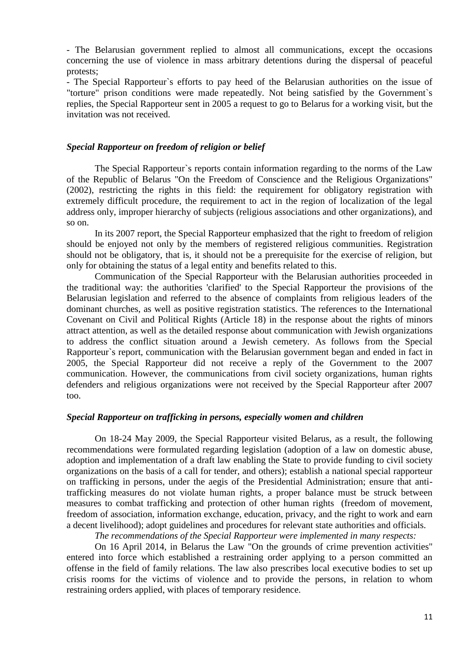- The Belarusian government replied to almost all communications, except the occasions concerning the use of violence in mass arbitrary detentions during the dispersal of peaceful protests;

- The Special Rapporteur`s efforts to pay heed of the Belarusian authorities on the issue of "torture" prison conditions were made repeatedly. Not being satisfied by the Government`s replies, the Special Rapporteur sent in 2005 a request to go to Belarus for a working visit, but the invitation was not received.

#### *Special Rapporteur on freedom of religion or belief*

The Special Rapporteur`s reports contain information regarding to the norms of the Law of the Republic of Belarus "On the Freedom of Conscience and the Religious Organizations" (2002), restricting the rights in this field: the requirement for obligatory registration with extremely difficult procedure, the requirement to act in the region of localization of the legal address only, improper hierarchy of subjects (religious associations and other organizations), and so on.

In its 2007 report, the Special Rapporteur emphasized that the right to freedom of religion should be enjoyed not only by the members of registered religious communities. Registration should not be obligatory, that is, it should not be a prerequisite for the exercise of religion, but only for obtaining the status of a legal entity and benefits related to this.

Communication of the Special Rapporteur with the Belarusian authorities proceeded in the traditional way: the authorities 'clarified' to the Special Rapporteur the provisions of the Belarusian legislation and referred to the absence of complaints from religious leaders of the dominant churches, as well as positive registration statistics. The references to the International Covenant on Civil and Political Rights (Article 18) in the response about the rights of minors attract attention, as well as the detailed response about communication with Jewish organizations to address the conflict situation around a Jewish cemetery. As follows from the Special Rapporteur`s report, communication with the Belarusian government began and ended in fact in 2005, the Special Rapporteur did not receive a reply of the Government to the 2007 communication. However, the communications from civil society organizations, human rights defenders and religious organizations were not received by the Special Rapporteur after 2007 too.

# *Special Rapporteur on trafficking in persons, especially women and children*

On 18-24 May 2009, the Special Rapporteur visited Belarus, as a result, the following recommendations were formulated regarding legislation (adoption of a law on domestic abuse, adoption and implementation of a draft law enabling the State to provide funding to civil society organizations on the basis of a call for tender, and others); establish a national special rapporteur on trafficking in persons, under the aegis of the Presidential Administration; ensure that antitrafficking measures do not violate human rights, a proper balance must be struck between measures to combat trafficking and protection of other human rights (freedom of movement, freedom of association, information exchange, education, privacy, and the right to work and earn a decent livelihood); adopt guidelines and procedures for relevant state authorities and officials.

*The recommendations of the Special Rapporteur were implemented in many respects:*

On 16 April 2014, in Belarus the Law "On the grounds of crime prevention activities" entered into force which established a restraining order applying to a person committed an offense in the field of family relations. The law also prescribes local executive bodies to set up crisis rooms for the victims of violence and to provide the persons, in relation to whom restraining orders applied, with places of temporary residence.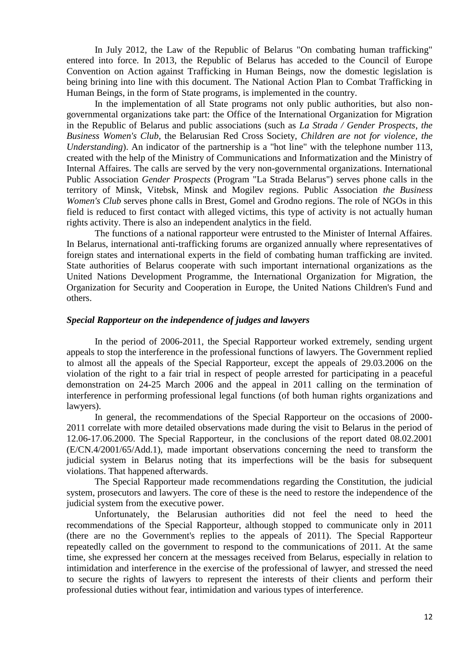In July 2012, the Law of the Republic of Belarus "On combating human trafficking" entered into force. In 2013, the Republic of Belarus has acceded to the Council of Europe Convention on Action against Trafficking in Human Beings, now the domestic legislation is being brining into line with this document. The National Action Plan to Combat Trafficking in Human Beings, in the form of State programs, is implemented in the country.

In the implementation of all State programs not only public authorities, but also nongovernmental organizations take part: the Office of the International Organization for Migration in the Republic of Belarus and public associations (such as *La Strada / Gender Prospects*, *the Business Women's Club*, the Belarusian Red Cross Society, *Children are not for violence*, *the Understanding*). An indicator of the partnership is a "hot line" with the telephone number 113, created with the help of the Ministry of Communications and Informatization and the Ministry of Internal Affaires. The calls are served by the very non-governmental organizations. International Public Association *Gender Prospects* (Program "La Strada Belarus") serves phone calls in the territory of Minsk, Vitebsk, Minsk and Mogilev regions. Public Association *the Business Women's Club* serves phone calls in Brest, Gomel and Grodno regions. The role of NGOs in this field is reduced to first contact with alleged victims, this type of activity is not actually human rights activity. There is also an independent analytics in the field.

The functions of a national rapporteur were entrusted to the Minister of Internal Affaires. In Belarus, international anti-trafficking forums are organized annually where representatives of foreign states and international experts in the field of combating human trafficking are invited. State authorities of Belarus cooperate with such important international organizations as the United Nations Development Programme, the International Organization for Migration, the Organization for Security and Cooperation in Europe, the United Nations Children's Fund and others.

#### *Special Rapporteur on the independence of judges and lawyers*

In the period of 2006-2011, the Special Rapporteur worked extremely, sending urgent appeals to stop the interference in the professional functions of lawyers. The Government replied to almost all the appeals of the Special Rapporteur, except the appeals of 29.03.2006 on the violation of the right to a fair trial in respect of people arrested for participating in a peaceful demonstration on 24-25 March 2006 and the appeal in 2011 calling on the termination of interference in performing professional legal functions (of both human rights organizations and lawyers).

In general, the recommendations of the Special Rapporteur on the occasions of 2000- 2011 correlate with more detailed observations made during the visit to Belarus in the period of 12.06-17.06.2000. The Special Rapporteur, in the conclusions of the report dated 08.02.2001 (E/CN.4/2001/65/Add.1), made important observations concerning the need to transform the judicial system in Belarus noting that its imperfections will be the basis for subsequent violations. That happened afterwards.

The Special Rapporteur made recommendations regarding the Constitution, the judicial system, prosecutors and lawyers. The core of these is the need to restore the independence of the judicial system from the executive power.

Unfortunately, the Belarusian authorities did not feel the need to heed the recommendations of the Special Rapporteur, although stopped to communicate only in 2011 (there are no the Government's replies to the appeals of 2011). The Special Rapporteur repeatedly called on the government to respond to the communications of 2011. At the same time, she expressed her concern at the messages received from Belarus, especially in relation to intimidation and interference in the exercise of the professional of lawyer, and stressed the need to secure the rights of lawyers to represent the interests of their clients and perform their professional duties without fear, intimidation and various types of interference.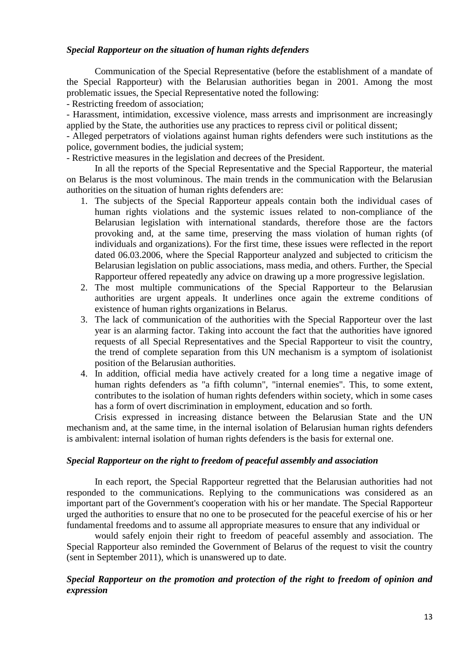# *Special Rapporteur on the situation of human rights defenders*

Communication of the Special Representative (before the establishment of a mandate of the Special Rapporteur) with the Belarusian authorities began in 2001. Among the most problematic issues, the Special Representative noted the following:

- Restricting freedom of association;

- Harassment, intimidation, excessive violence, mass arrests and imprisonment are increasingly applied by the State, the authorities use any practices to repress civil or political dissent;

- Alleged perpetrators of violations against human rights defenders were such institutions as the police, government bodies, the judicial system;

- Restrictive measures in the legislation and decrees of the President.

In all the reports of the Special Representative and the Special Rapporteur, the material on Belarus is the most voluminous. The main trends in the communication with the Belarusian authorities on the situation of human rights defenders are:

- 1. The subjects of the Special Rapporteur appeals contain both the individual cases of human rights violations and the systemic issues related to non-compliance of the Belarusian legislation with international standards, therefore those are the factors provoking and, at the same time, preserving the mass violation of human rights (of individuals and organizations). For the first time, these issues were reflected in the report dated 06.03.2006, where the Special Rapporteur analyzed and subjected to criticism the Belarusian legislation on public associations, mass media, and others. Further, the Special Rapporteur offered repeatedly any advice on drawing up a more progressive legislation.
- 2. The most multiple communications of the Special Rapporteur to the Belarusian authorities are urgent appeals. It underlines once again the extreme conditions of existence of human rights organizations in Belarus.
- 3. The lack of communication of the authorities with the Special Rapporteur over the last year is an alarming factor. Taking into account the fact that the authorities have ignored requests of all Special Representatives and the Special Rapporteur to visit the country, the trend of complete separation from this UN mechanism is a symptom of isolationist position of the Belarusian authorities.
- 4. In addition, official media have actively created for a long time a negative image of human rights defenders as "a fifth column", "internal enemies". This, to some extent, contributes to the isolation of human rights defenders within society, which in some cases has a form of overt discrimination in employment, education and so forth.

Crisis expressed in increasing distance between the Belarusian State and the UN mechanism and, at the same time, in the internal isolation of Belarusian human rights defenders is ambivalent: internal isolation of human rights defenders is the basis for external one.

### *Special Rapporteur on the right to freedom of peaceful assembly and association*

In each report, the Special Rapporteur regretted that the Belarusian authorities had not responded to the communications. Replying to the communications was considered as an important part of the Government's cooperation with his or her mandate. The Special Rapporteur urged the authorities to ensure that no one to be prosecuted for the peaceful exercise of his or her fundamental freedoms and to assume all appropriate measures to ensure that any individual or

would safely enjoin their right to freedom of peaceful assembly and association. The Special Rapporteur also reminded the Government of Belarus of the request to visit the country (sent in September 2011), which is unanswered up to date.

# *Special Rapporteur on the promotion and protection of the right to freedom of opinion and expression*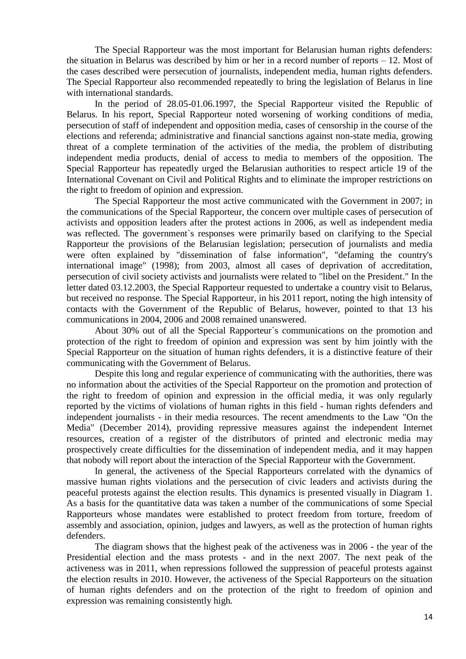The Special Rapporteur was the most important for Belarusian human rights defenders: the situation in Belarus was described by him or her in a record number of reports – 12. Most of the cases described were persecution of journalists, independent media, human rights defenders. The Special Rapporteur also recommended repeatedly to bring the legislation of Belarus in line with international standards.

In the period of 28.05-01.06.1997, the Special Rapporteur visited the Republic of Belarus. In his report, Special Rapporteur noted worsening of working conditions of media, persecution of staff of independent and opposition media, cases of censorship in the course of the elections and referenda; administrative and financial sanctions against non-state media, growing threat of a complete termination of the activities of the media, the problem of distributing independent media products, denial of access to media to members of the opposition. The Special Rapporteur has repeatedly urged the Belarusian authorities to respect article 19 of the International Covenant on Civil and Political Rights and to eliminate the improper restrictions on the right to freedom of opinion and expression.

The Special Rapporteur the most active communicated with the Government in 2007; in the communications of the Special Rapporteur, the concern over multiple cases of persecution of activists and opposition leaders after the protest actions in 2006, as well as independent media was reflected. The government`s responses were primarily based on clarifying to the Special Rapporteur the provisions of the Belarusian legislation; persecution of journalists and media were often explained by "dissemination of false information", "defaming the country's international image" (1998); from 2003, almost all cases of deprivation of accreditation, persecution of civil society activists and journalists were related to "libel on the President." In the letter dated 03.12.2003, the Special Rapporteur requested to undertake a country visit to Belarus, but received no response. The Special Rapporteur, in his 2011 report, noting the high intensity of contacts with the Government of the Republic of Belarus, however, pointed to that 13 his communications in 2004, 2006 and 2008 remained unanswered.

About 30% out of all the Special Rapporteur`s communications on the promotion and protection of the right to freedom of opinion and expression was sent by him jointly with the Special Rapporteur on the situation of human rights defenders, it is a distinctive feature of their communicating with the Government of Belarus.

Despite this long and regular experience of communicating with the authorities, there was no information about the activities of the Special Rapporteur on the promotion and protection of the right to freedom of opinion and expression in the official media, it was only regularly reported by the victims of violations of human rights in this field - human rights defenders and independent journalists - in their media resources. The recent amendments to the Law "On the Media" (December 2014), providing repressive measures against the independent Internet resources, creation of a register of the distributors of printed and electronic media may prospectively create difficulties for the dissemination of independent media, and it may happen that nobody will report about the interaction of the Special Rapporteur with the Government.

In general, the activeness of the Special Rapporteurs correlated with the dynamics of massive human rights violations and the persecution of civic leaders and activists during the peaceful protests against the election results. This dynamics is presented visually in Diagram 1. As a basis for the quantitative data was taken a number of the communications of some Special Rapporteurs whose mandates were established to protect freedom from torture, freedom of assembly and association, opinion, judges and lawyers, as well as the protection of human rights defenders.

The diagram shows that the highest peak of the activeness was in 2006 - the year of the Presidential election and the mass protests - and in the next 2007. The next peak of the activeness was in 2011, when repressions followed the suppression of peaceful protests against the election results in 2010. However, the activeness of the Special Rapporteurs on the situation of human rights defenders and on the protection of the right to freedom of opinion and expression was remaining consistently high.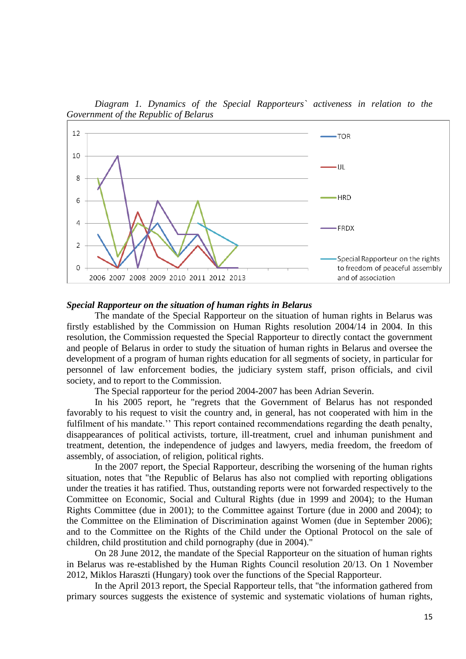*Diagram 1. Dynamics of the Special Rapporteurs` activeness in relation to the Government of the Republic of Belarus*



#### *Special Rapporteur on the situation of human rights in Belarus*

The mandate of the Special Rapporteur on the situation of human rights in Belarus was firstly established by the Commission on Human Rights resolution 2004/14 in 2004. In this resolution, the Commission requested the Special Rapporteur to directly contact the government and people of Belarus in order to study the situation of human rights in Belarus and oversee the development of a program of human rights education for all segments of society, in particular for personnel of law enforcement bodies, the judiciary system staff, prison officials, and civil society, and to report to the Commission.

The Special rapporteur for the period 2004-2007 has been Adrian Severin.

In his 2005 report, he "regrets that the Government of Belarus has not responded favorably to his request to visit the country and, in general, has not cooperated with him in the fulfilment of his mandate." This report contained recommendations regarding the death penalty, disappearances of political activists, torture, ill-treatment, cruel and inhuman punishment and treatment, detention, the independence of judges and lawyers, media freedom, the freedom of assembly, of association, of religion, political rights.

In the 2007 report, the Special Rapporteur, describing the worsening of the human rights situation, notes that "the Republic of Belarus has also not complied with reporting obligations under the treaties it has ratified. Thus, outstanding reports were not forwarded respectively to the Committee on Economic, Social and Cultural Rights (due in 1999 and 2004); to the Human Rights Committee (due in 2001); to the Committee against Torture (due in 2000 and 2004); to the Committee on the Elimination of Discrimination against Women (due in September 2006); and to the Committee on the Rights of the Child under the Optional Protocol on the sale of children, child prostitution and child pornography (due in 2004)."

On 28 June 2012, the mandate of the Special Rapporteur on the situation of human rights in Belarus was re-established by the Human Rights Council resolution 20/13. On 1 November 2012, Miklos Haraszti (Hungary) took over the functions of the Special Rapporteur.

In the April 2013 report, the Special Rapporteur tells, that "the information gathered from primary sources suggests the existence of systemic and systematic violations of human rights,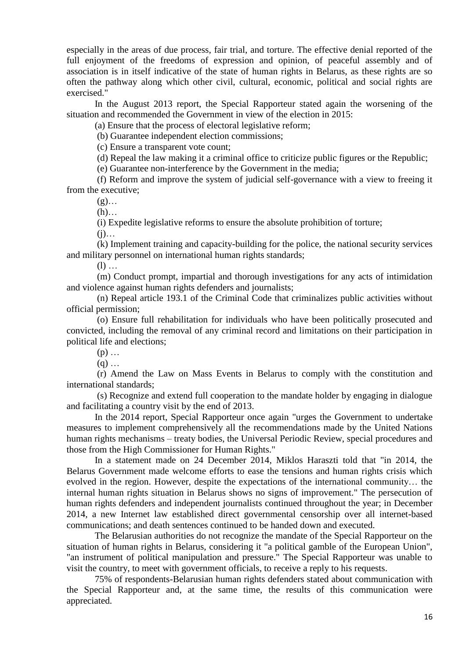especially in the areas of due process, fair trial, and torture. The effective denial reported of the full enjoyment of the freedoms of expression and opinion, of peaceful assembly and of association is in itself indicative of the state of human rights in Belarus, as these rights are so often the pathway along which other civil, cultural, economic, political and social rights are exercised."

In the August 2013 report, the Special Rapporteur stated again the worsening of the situation and recommended the Government in view of the election in 2015:

(a) Ensure that the process of electoral legislative reform;

(b) Guarantee independent election commissions;

(c) Ensure a transparent vote count;

(d) Repeal the law making it a criminal office to criticize public figures or the Republic;

(e) Guarantee non-interference by the Government in the media;

(f) Reform and improve the system of judicial self-governance with a view to freeing it from the executive;

 $(g)$ …

 $(h)$ …

(i) Expedite legislative reforms to ensure the absolute prohibition of torture;

 $(i)$ …

(k) Implement training and capacity-building for the police, the national security services and military personnel on international human rights standards;

 $(l)$  …

(m) Conduct prompt, impartial and thorough investigations for any acts of intimidation and violence against human rights defenders and journalists;

(n) Repeal article 193.1 of the Criminal Code that criminalizes public activities without official permission;

(o) Ensure full rehabilitation for individuals who have been politically prosecuted and convicted, including the removal of any criminal record and limitations on their participation in political life and elections;

 $(p)$  ...

 $(q)$  ...

(r) Amend the Law on Mass Events in Belarus to comply with the constitution and international standards;

(s) Recognize and extend full cooperation to the mandate holder by engaging in dialogue and facilitating a country visit by the end of 2013.

In the 2014 report, Special Rapporteur once again "urges the Government to undertake measures to implement comprehensively all the recommendations made by the United Nations human rights mechanisms – treaty bodies, the Universal Periodic Review, special procedures and those from the High Commissioner for Human Rights."

In a statement made on 24 December 2014, Miklos Haraszti told that "in 2014, the Belarus Government made welcome efforts to ease the tensions and human rights crisis which evolved in the region. However, despite the expectations of the international community… the internal human rights situation in Belarus shows no signs of improvement." The persecution of human rights defenders and independent journalists continued throughout the year; in December 2014, a new Internet law established direct governmental censorship over all internet-based communications; and death sentences continued to be handed down and executed.

The Belarusian authorities do not recognize the mandate of the Special Rapporteur on the situation of human rights in Belarus, considering it "a political gamble of the European Union", "an instrument of political manipulation and pressure." The Special Rapporteur was unable to visit the country, to meet with government officials, to receive a reply to his requests.

75% of respondents-Belarusian human rights defenders stated about communication with the Special Rapporteur and, at the same time, the results of this communication were appreciated.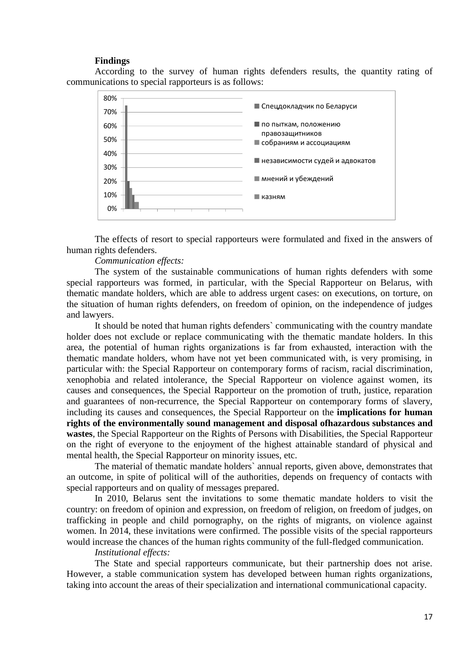#### **Findings**

According to the survey of human rights defenders results, the quantity rating of communications to special rapporteurs is as follows:



The effects of resort to special rapporteurs were formulated and fixed in the answers of human rights defenders.

#### *Communication effects:*

The system of the sustainable communications of human rights defenders with some special rapporteurs was formed, in particular, with the Special Rapporteur on Belarus, with thematic mandate holders, which are able to address urgent cases: on executions, on torture, on the situation of human rights defenders, on freedom of opinion, on the independence of judges and lawyers.

It should be noted that human rights defenders` communicating with the country mandate holder does not exclude or replace communicating with the thematic mandate holders. In this area, the potential of human rights organizations is far from exhausted, interaction with the thematic mandate holders, whom have not yet been communicated with, is very promising, in particular with: the Special Rapporteur on contemporary forms of racism, racial discrimination, xenophobia and related intolerance, the Special Rapporteur on violence against women, its causes and consequences, the Special Rapporteur on the promotion of truth, justice, reparation and guarantees of non-recurrence, the Special Rapporteur on contemporary forms of slavery, including its causes and consequences, the Special Rapporteur on the **implications for human rights of the environmentally sound management and disposal ofhazardous [substances and](http://www.ohchr.org/EN/Issues/Environment/ToxicWastes/Pages/SRToxicWastesIndex.aspx)  [wastes](http://www.ohchr.org/EN/Issues/Environment/ToxicWastes/Pages/SRToxicWastesIndex.aspx)**, the Special Rapporteur on the Rights of Persons with Disabilities, the Special Rapporteur on the right of everyone to the enjoyment of the highest attainable standard of physical and mental health, the Special Rapporteur on minority issues, etc.

The material of thematic mandate holders` annual reports, given above, demonstrates that an outcome, in spite of political will of the authorities, depends on frequency of contacts with special rapporteurs and on quality of messages prepared.

In 2010, Belarus sent the invitations to some thematic mandate holders to visit the country: on freedom of opinion and expression, on freedom of religion, on freedom of judges, on trafficking in people and child pornography, on the rights of migrants, on violence against women. In 2014, these invitations were confirmed. The possible visits of the special rapporteurs would increase the chances of the human rights community of the full-fledged communication.

#### *Institutional effects:*

The State and special rapporteurs communicate, but their partnership does not arise. However, a stable communication system has developed between human rights organizations, taking into account the areas of their specialization and international communicational capacity.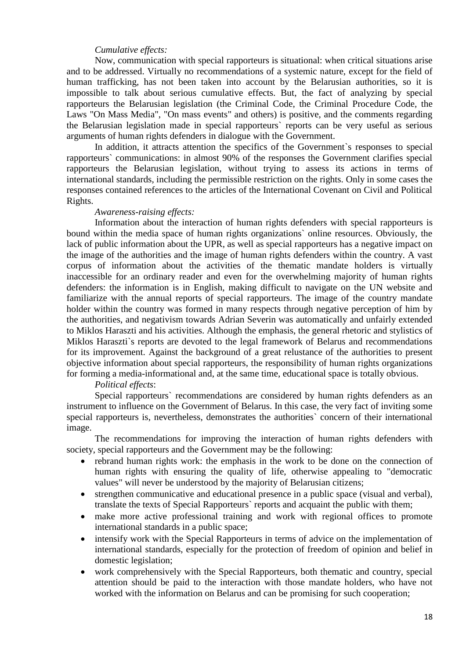#### *Cumulative effects:*

Now, communication with special rapporteurs is situational: when critical situations arise and to be addressed. Virtually no recommendations of a systemic nature, except for the field of human trafficking, has not been taken into account by the Belarusian authorities, so it is impossible to talk about serious cumulative effects. But, the fact of analyzing by special rapporteurs the Belarusian legislation (the Criminal Code, the Criminal Procedure Code, the Laws "On Mass Media", "On mass events" and others) is positive, and the comments regarding the Belarusian legislation made in special rapporteurs` reports can be very useful as serious arguments of human rights defenders in dialogue with the Government.

In addition, it attracts attention the specifics of the Government`s responses to special rapporteurs` communications: in almost 90% of the responses the Government clarifies special rapporteurs the Belarusian legislation, without trying to assess its actions in terms of international standards, including the permissible restriction on the rights. Only in some cases the responses contained references to the articles of the International Covenant on Civil and Political Rights.

#### *Awareness-raising effects:*

Information about the interaction of human rights defenders with special rapporteurs is bound within the media space of human rights organizations` online resources. Obviously, the lack of public information about the UPR, as well as special rapporteurs has a negative impact on the image of the authorities and the image of human rights defenders within the country. A vast corpus of information about the activities of the thematic mandate holders is virtually inaccessible for an ordinary reader and even for the overwhelming majority of human rights defenders: the information is in English, making difficult to navigate on the UN website and familiarize with the annual reports of special rapporteurs. The image of the country mandate holder within the country was formed in many respects through negative perception of him by the authorities, and negativism towards Adrian Severin was automatically and unfairly extended to Miklos Haraszti and his activities. Although the emphasis, the general rhetoric and stylistics of Miklos Haraszti`s reports are devoted to the legal framework of Belarus and recommendations for its improvement. Against the background of a great relustance of the authorities to present objective information about special rapporteurs, the responsibility of human rights organizations for forming a media-informational and, at the same time, educational space is totally obvious.

### *Political effects*:

Special rapporteurs` recommendations are considered by human rights defenders as an instrument to influence on the Government of Belarus. In this case, the very fact of inviting some special rapporteurs is, nevertheless, demonstrates the authorities` concern of their international image.

The recommendations for improving the interaction of human rights defenders with society, special rapporteurs and the Government may be the following:

- rebrand human rights work: the emphasis in the work to be done on the connection of human rights with ensuring the quality of life, otherwise appealing to "democratic values" will never be understood by the majority of Belarusian citizens;
- strengthen communicative and educational presence in a public space (visual and verbal), translate the texts of Special Rapporteurs` reports and acquaint the public with them;
- make more active professional training and work with regional offices to promote international standards in a public space;
- intensify work with the Special Rapporteurs in terms of advice on the implementation of international standards, especially for the protection of freedom of opinion and belief in domestic legislation;
- work comprehensively with the Special Rapporteurs, both thematic and country, special attention should be paid to the interaction with those mandate holders, who have not worked with the information on Belarus and can be promising for such cooperation;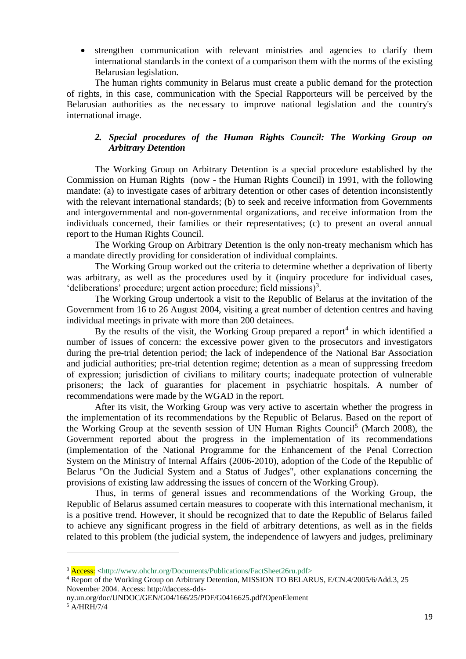strengthen communication with relevant ministries and agencies to clarify them international standards in the context of a comparison them with the norms of the existing Belarusian legislation.

The human rights community in Belarus must create a public demand for the protection of rights, in this case, communication with the Special Rapporteurs will be perceived by the Belarusian authorities as the necessary to improve national legislation and the country's international image.

# *2. Special procedures of the Human Rights Council: The Working Group on Arbitrary Detention*

The Working Group on Arbitrary Detention is a special procedure established by the Commission on Human Rights (now - the Human Rights Council) in 1991, with the following mandate: (a) to investigate cases of arbitrary detention or other cases of detention inconsistently with the relevant international standards; (b) to seek and receive information from Governments and intergovernmental and non-governmental organizations, and receive information from the individuals concerned, their families or their representatives; (c) to present an overal annual report to the Human Rights Council.

The Working Group on Arbitrary Detention is the only non-treaty mechanism which has a mandate directly providing for consideration of individual complaints.

The Working Group worked out the criteria to determine whether a deprivation of liberty was arbitrary, as well as the procedures used by it (inquiry procedure for individual cases, 'deliberations' procedure; urgent action procedure; field missions)<sup>3</sup>.

The Working Group undertook a visit to the Republic of Belarus at the invitation of the Government from 16 to 26 August 2004, visiting a great number of detention centres and having individual meetings in private with more than 200 detainees.

By the results of the visit, the Working Group prepared a report<sup>4</sup> in which identified a number of issues of concern: the excessive power given to the prosecutors and investigators during the pre-trial detention period; the lack of independence of the National Bar Association and judicial authorities; pre-trial detention regime; detention as a mean of suppressing freedom of expression; jurisdiction of civilians to military courts; inadequate protection of vulnerable prisoners; the lack of guaranties for placement in psychiatric hospitals. A number of recommendations were made by the WGAD in the report.

After its visit, the Working Group was very active to ascertain whether the progress in the implementation of its recommendations by the Republic of Belarus. Based on the report of the Working Group at the seventh session of UN Human Rights Council<sup>5</sup> (March 2008), the Government reported about the progress in the implementation of its recommendations (implementation of the National Programme for the Enhancement of the Penal Correction System on the Ministry of Internal Affairs (2006-2010), adoption of the Code of the Republic of Belarus "On the Judicial System and a Status of Judges", other explanations concerning the provisions of existing law addressing the issues of concern of the Working Group).

Thus, in terms of general issues and recommendations of the Working Group, the Republic of Belarus assumed certain measures to cooperate with this international mechanism, it is a positive trend. However, it should be recognized that to date the Republic of Belarus failed to achieve any significant progress in the field of arbitrary detentions, as well as in the fields related to this problem (the judicial system, the independence of lawyers and judges, preliminary

ny.un.org/doc/UNDOC/GEN/G04/166/25/PDF/G0416625.pdf?OpenElement

1

<sup>&</sup>lt;sup>3</sup> Access: <http://www.ohchr.org/Documents/Publications/FactSheet26ru.pdf>

<sup>4</sup> Report of the Working Group on Arbitrary Detention, MISSION TO BELARUS, E/CN.4/2005/6/Add.3, 25 November 2004. Access: http://daccess-dds-

<sup>5</sup> A/HRH/7/4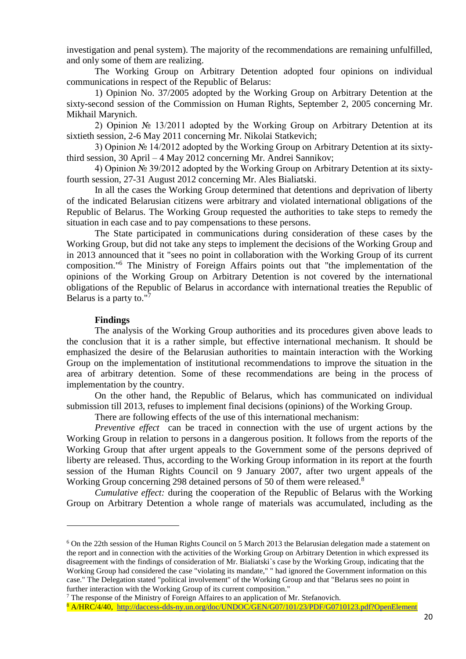investigation and penal system). The majority of the recommendations are remaining unfulfilled, and only some of them are realizing.

The Working Group on Arbitrary Detention adopted four opinions on individual communications in respect of the Republic of Belarus:

1) Opinion No. 37/2005 adopted by the Working Group on Arbitrary Detention at the sixty-second session of the Commission on Human Rights, September 2, 2005 concerning Mr. Mikhail Marynich.

2) Opinion № 13/2011 adopted by the Working Group on Arbitrary Detention at its sixtieth session, 2-6 May 2011 concerning Mr. Nikolai Statkevich;

3) Opinion № 14/2012 adopted by the Working Group on Arbitrary Detention at its sixtythird session, 30 April – 4 May 2012 concerning Mr. Andrei Sannikov;

4) Opinion № 39/2012 adopted by the Working Group on Arbitrary Detention at its sixtyfourth session, 27-31 August 2012 concerning Mr. Ales Bialiatski.

In all the cases the Working Group determined that detentions and deprivation of liberty of the indicated Belarusian citizens were arbitrary and violated international obligations of the Republic of Belarus. The Working Group requested the authorities to take steps to remedy the situation in each case and to pay compensations to these persons.

The State participated in communications during consideration of these cases by the Working Group, but did not take any steps to implement the decisions of the Working Group and in 2013 announced that it "sees no point in collaboration with the Working Group of its current composition."<sup>6</sup> The Ministry of Foreign Affairs points out that "the implementation of the opinions of the Working Group on Arbitrary Detention is not covered by the international obligations of the Republic of Belarus in accordance with international treaties the Republic of Belarus is a party to."<sup>7</sup>

#### **Findings**

**.** 

The analysis of the Working Group authorities and its procedures given above leads to the conclusion that it is a rather simple, but effective international mechanism. It should be emphasized the desire of the Belarusian authorities to maintain interaction with the Working Group on the implementation of institutional recommendations to improve the situation in the area of arbitrary detention. Some of these recommendations are being in the process of implementation by the country.

On the other hand, the Republic of Belarus, which has communicated on individual submission till 2013, refuses to implement final decisions (opinions) of the Working Group.

There are following effects of the use of this international mechanism:

*Preventive effect* can be traced in connection with the use of urgent actions by the Working Group in relation to persons in a dangerous position. It follows from the reports of the Working Group that after urgent appeals to the Government some of the persons deprived of liberty are released. Thus, according to the Working Group information in its report at the fourth session of the Human Rights Council on 9 January 2007, after two urgent appeals of the Working Group concerning 298 detained persons of 50 of them were released.<sup>8</sup>

*Cumulative effect:* during the cooperation of the Republic of Belarus with the Working Group on Arbitrary Detention a whole range of materials was accumulated, including as the

8 A/HRC/4/40, <http://daccess-dds-ny.un.org/doc/UNDOC/GEN/G07/101/23/PDF/G0710123.pdf?OpenElement>

<sup>&</sup>lt;sup>6</sup> On the 22th session of the Human Rights Council on 5 March 2013 the Belarusian delegation made a statement on the report and in connection with the activities of the Working Group on Arbitrary Detention in which expressed its disagreement with the findings of consideration of Mr. Bialiatski`s case by the Working Group, indicating that the Working Group had considered the case "violating its mandate," " had ignored the Government information on this case." The Delegation stated "political involvement" of the Working Group and that "Belarus sees no point in further interaction with the Working Group of its current composition."

<sup>7</sup> The response of the Ministry of Foreign Affaires to an application of Mr. Stefanovich.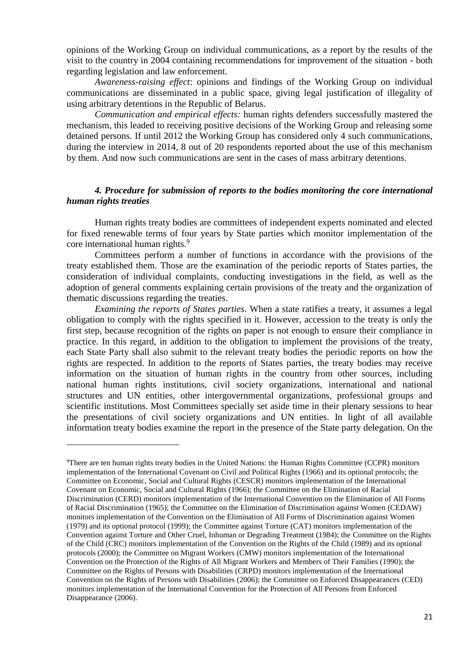opinions of the Working Group on individual communications, as a report by the results of the visit to the country in 2004 containing recommendations for improvement of the situation - both regarding legislation and law enforcement.

*Awareness-raising effect*: opinions and findings of the Working Group on individual communications are disseminated in a public space, giving legal justification of illegality of using arbitrary detentions in the Republic of Belarus.

*Communication and empirical effects:* human rights defenders successfully mastered the mechanism, this leaded to receiving positive decisions of the Working Group and releasing some detained persons. If until 2012 the Working Group has considered only 4 such communications, during the interview in 2014, 8 out of 20 respondents reported about the use of this mechanism by them. And now such communications are sent in the cases of mass arbitrary detentions.

### *4. Procedure for submission of reports to the bodies monitoring the core international human rights treaties*

Human rights treaty bodies are committees of independent experts nominated and elected for fixed renewable terms of four years by State parties which monitor implementation of the core international human rights.<sup>9</sup>

Committees perform a number of functions in accordance with the provisions of the treaty established them. Those are the examination of the periodic reports of States parties, the consideration of individual complaints, conducting investigations in the field, as well as the adoption of general comments explaining certain provisions of the treaty and the organization of thematic discussions regarding the treaties.

*Examining the reports of States parties*. When a state ratifies a treaty, it assumes a legal obligation to comply with the rights specified in it. However, accession to the treaty is only the first step, because recognition of the rights on paper is not enough to ensure their compliance in practice. In this regard, in addition to the obligation to implement the provisions of the treaty, each State Party shall also submit to the relevant treaty bodies the periodic reports on how the rights are respected. In addition to the reports of States parties, the treaty bodies may receive information on the situation of human rights in the country from other sources, including national human rights institutions, civil society organizations, international and national structures and UN entities, other intergovernmental organizations, professional groups and scientific institutions. Most Committees specially set aside time in their plenary sessions to hear the presentations of civil society organizations and UN entities. In light of all available information treaty bodies examine the report in the presence of the State party delegation. On the

<sup>&</sup>lt;sup>9</sup>There are ten human rights treaty bodies in the United Nations: the [Human Rights Committee](http://www.ohchr.org/EN/HRBodies/CCPR/Pages/CCPRIndex.aspx) (CCPR) monitors implementation of the International Covenant on Civil and Political Rights (1966) and its optional protocols; the [Committee on Economic, Social and Cultural Rights](http://www.ohchr.org/en/hrbodies/cescr/pages/cescrindex.aspx) (CESCR) monitors implementation of the International Covenant on Economic, Social and Cultural Rights (1966); the [Committee on the Elimination of Racial](http://www.ohchr.org/EN/HRBodies/CERD/Pages/CERDIndex.aspx)  [Discrimination](http://www.ohchr.org/EN/HRBodies/CERD/Pages/CERDIndex.aspx) (CERD) monitors implementation of the International Convention on the Elimination of All Forms of Racial Discrimination (1965); the [Committee on the Elimination of Discrimination against Women](http://www.ohchr.org/en/hrbodies/cedaw/pages/cedawindex.aspx) (CEDAW) monitors implementation of the Convention on the Elimination of All Forms of Discrimination against Women (1979) and its optional protocol (1999); the [Committee against Torture](http://www.ohchr.org/en/hrbodies/cat/pages/catindex.aspx) (CAT) monitors implementation of the Convention against Torture and Other Cruel, Inhuman or Degrading Treatment (1984); the [Committee on the Rights](http://www.ohchr.org/EN/HRBodies/CRC/Pages/CRCIndex.aspx)  [of the Child](http://www.ohchr.org/EN/HRBodies/CRC/Pages/CRCIndex.aspx) (CRC) monitors implementation of the Convention on the Rights of the Child (1989) and its optional protocols (2000); the [Committee on Migrant Workers](http://www2.ohchr.org/english/bodies/cmw/index.htm) (CMW) monitors implementation of the International Convention on the Protection of the Rights of All Migrant Workers and Members of Their Families (1990); the [Committee on the Rights of Persons with Disabilities](http://www.ohchr.org/EN/HRBodies/CRPD/Pages/CRPDIndex.aspx) (CRPD) monitors implementation of the International Convention on the Rights of Persons with Disabilities (2006); the [Committee on Enforced Disappearances](http://www.ohchr.org/EN/HRBodies/CED/Pages/CEDIndex.aspx) (CED) monitors implementation of the International Convention for the Protection of All Persons from Enforced Disappearance (2006).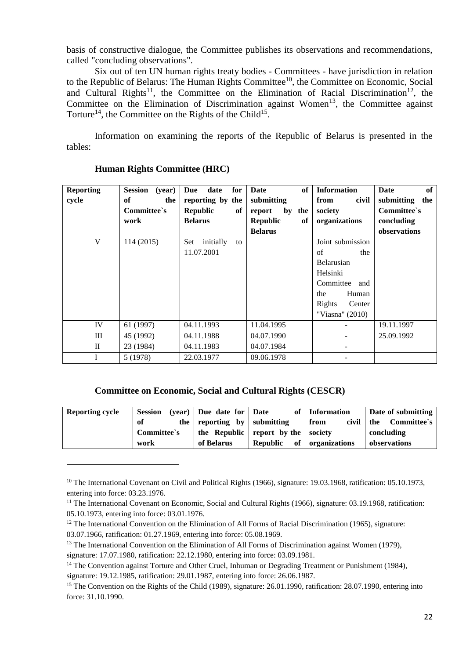basis of constructive dialogue, the Committee publishes its observations and recommendations, called "concluding observations".

Six out of ten UN human rights treaty bodies - Committees - have jurisdiction in relation to the Republic of Belarus: The Human Rights Committee<sup>10</sup>, the Committee on Economic, Social and Cultural Rights<sup>11</sup>, the Committee on the Elimination of Racial Discrimination<sup>12</sup>, the [Committee on the Elimination of Discrimination against Women](http://www.ohchr.org/en/hrbodies/cedaw/pages/cedawindex.aspx)<sup>13</sup>, the Committee against [Torture](http://www.ohchr.org/en/hrbodies/cat/pages/catindex.aspx)<sup>14</sup>, the [Committee on the Rights of the Child](http://www.ohchr.org/EN/HRBodies/CRC/Pages/CRCIndex.aspx)<sup>15</sup>.

Information on examining the reports of the Republic of Belarus is presented in the tables:

| <b>Reporting</b> | <b>Session</b><br>(year) | for<br>date<br>Due     | of<br>Date            | <b>Information</b> | of<br>Date        |
|------------------|--------------------------|------------------------|-----------------------|--------------------|-------------------|
| cycle            | of<br>the                | reporting by the       | submitting            | from<br>civil      | submitting<br>the |
|                  | Committee's              | <b>Republic</b><br>of  | report<br>by the      | society            | Committee's       |
|                  | work                     | <b>Belarus</b>         | <b>Republic</b><br>of | organizations      | concluding        |
|                  |                          |                        | <b>Belarus</b>        |                    | observations      |
| V                | 114(2015)                | initially<br>Set<br>to |                       | Joint submission   |                   |
|                  |                          | 11.07.2001             |                       | of<br>the          |                   |
|                  |                          |                        |                       | Belarusian         |                   |
|                  |                          |                        |                       | Helsinki           |                   |
|                  |                          |                        |                       | Committee<br>and   |                   |
|                  |                          |                        |                       | Human<br>the       |                   |
|                  |                          |                        |                       | Rights<br>Center   |                   |
|                  |                          |                        |                       | "Viasna" (2010)    |                   |
| IV               | 61 (1997)                | 04.11.1993             | 11.04.1995            |                    | 19.11.1997        |
| Ш                | 45 (1992)                | 04.11.1988             | 04.07.1990            |                    | 25.09.1992        |
| $\mathbf{I}$     | 23 (1984)                | 04.11.1983             | 04.07.1984            |                    |                   |
|                  | 5 (1978)                 | 22.03.1977             | 09.06.1978            |                    |                   |

# **Human Rights Committee (HRC)**

 $\overline{a}$ 

### **Committee on Economic, Social and Cultural Rights (CESCR)**

| <b>Reporting cycle</b> | <b>Session</b> | $(year)$ Due date for Date  |                                    | of   Information | Date of submitting   |
|------------------------|----------------|-----------------------------|------------------------------------|------------------|----------------------|
|                        | of             | the reporting by submitting |                                    | civil<br>from    | Committee`s<br>l the |
|                        | Committee's    |                             | the Republic report by the society |                  | concluding           |
|                        | work           | of Belarus                  | of '<br>Republic                   | organizations    | observations         |

<sup>&</sup>lt;sup>10</sup> The International Covenant on Civil and Political Rights (1966), signature: 19.03.1968, ratification: 05.10.1973, entering into force: 03.23.1976.

 $11$  The International Covenant on Economic, Social and Cultural Rights (1966), signature: 03.19.1968, ratification: 05.10.1973, entering into force: 03.01.1976.

<sup>&</sup>lt;sup>12</sup> The International Convention on the Elimination of All Forms of Racial Discrimination (1965), signature: 03.07.1966, ratification: 01.27.1969, entering into force: 05.08.1969.

<sup>&</sup>lt;sup>13</sup> The International Convention on the Elimination of All Forms of Discrimination against Women (1979), signature: 17.07.1980, ratification: 22.12.1980, entering into force: 03.09.1981.

<sup>&</sup>lt;sup>14</sup> The Convention against Torture and Other Cruel, Inhuman or Degrading Treatment or Punishment (1984), signature: 19.12.1985, ratification: 29.01.1987, entering into force: 26.06.1987.

<sup>&</sup>lt;sup>15</sup> The Convention on the Rights of the Child (1989), signature: 26.01.1990, ratification: 28.07.1990, entering into force: 31.10.1990.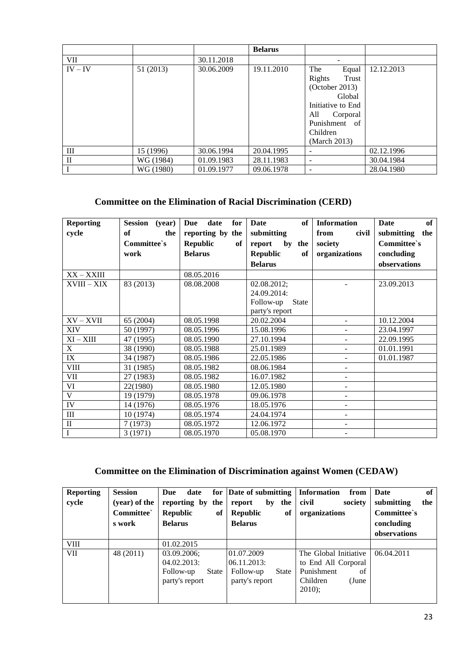|              |           |            | <b>Belarus</b> |                          |            |
|--------------|-----------|------------|----------------|--------------------------|------------|
| <b>VII</b>   |           | 30.11.2018 |                | -                        |            |
| $IV - IV$    | 51 (2013) | 30.06.2009 | 19.11.2010     | The<br>Equal             | 12.12.2013 |
|              |           |            |                | Rights<br>Trust          |            |
|              |           |            |                | (October 2013)           |            |
|              |           |            |                | Global                   |            |
|              |           |            |                | Initiative to End        |            |
|              |           |            |                | All<br>Corporal          |            |
|              |           |            |                | Punishment of            |            |
|              |           |            |                | Children                 |            |
|              |           |            |                | (March 2013)             |            |
| III          | 15 (1996) | 30.06.1994 | 20.04.1995     | ٠                        | 02.12.1996 |
| $\mathbf{I}$ | WG (1984) | 01.09.1983 | 28.11.1983     | $\overline{\phantom{0}}$ | 30.04.1984 |
|              | WG (1980) | 01.09.1977 | 09.06.1978     | $\overline{\phantom{0}}$ | 28.04.1980 |

# **Committee on the Elimination of Racial Discrimination (CERD)**

| <b>Reporting</b>        | Session (year)   | Due<br>date<br>$for \,  $ | of<br>Date                | <b>Information</b>       | of<br>Date        |
|-------------------------|------------------|---------------------------|---------------------------|--------------------------|-------------------|
| cycle                   | <b>of</b><br>the | reporting by the          | submitting                | from<br>civil            | submitting<br>the |
|                         | Committee's      | <b>Republic</b><br>of     | by the<br>report          | society                  | Committee's       |
|                         | work             | <b>Belarus</b>            | <b>Republic</b><br>of     | organizations            | concluding        |
|                         |                  |                           | <b>Belarus</b>            |                          | observations      |
| XX-XXIII                |                  | 08.05.2016                |                           |                          |                   |
| XVIII - XIX             | 83 (2013)        | 08.08.2008                | 02.08.2012;               |                          | 23.09.2013        |
|                         |                  |                           | 24.09.2014:               |                          |                   |
|                         |                  |                           | Follow-up<br><b>State</b> |                          |                   |
|                         |                  |                           | party's report            |                          |                   |
| $XV - XVII$             | 65 (2004)        | 08.05.1998                | 20.02.2004                | $\blacksquare$           | 10.12.2004        |
| XIV                     | 50 (1997)        | 08.05.1996                | 15.08.1996                | $\overline{\phantom{a}}$ | 23.04.1997        |
| $XI - XIII$             | 47 (1995)        | 08.05.1990                | 27.10.1994                | $\overline{\phantom{a}}$ | 22.09.1995        |
| $\mathbf X$             | 38 (1990)        | 08.05.1988                | 25.01.1989                |                          | 01.01.1991        |
| IX                      | 34 (1987)        | 08.05.1986                | 22.05.1986                |                          | 01.01.1987        |
| <b>VIII</b>             | 31 (1985)        | 08.05.1982                | 08.06.1984                | $\overline{\phantom{a}}$ |                   |
| VII                     | 27 (1983)        | 08.05.1982                | 16.07.1982                | $\blacksquare$           |                   |
| VI                      | 22(1980)         | 08.05.1980                | 12.05.1980                | $\blacksquare$           |                   |
| $\overline{\mathbf{V}}$ | 19 (1979)        | 08.05.1978                | 09.06.1978                | $\overline{\phantom{a}}$ |                   |
| IV                      | 14 (1976)        | 08.05.1976                | 18.05.1976                | $\mathbf{r}$             |                   |
| Ш                       | 10 (1974)        | 08.05.1974                | 24.04.1974                | $\sim$                   |                   |
| $\mathbf{I}$            | 7(1973)          | 08.05.1972                | 12.06.1972                | $\blacksquare$           |                   |
| $\overline{I}$          | 3(1971)          | 08.05.1970                | 05.08.1970                | $\sim$                   |                   |

# **[Committee on the Elimination of Discrimination against Women](http://www.ohchr.org/en/hrbodies/cedaw/pages/cedawindex.aspx) (CEDAW)**

| <b>Reporting</b><br>cycle | <b>Session</b><br>(year) of the<br>Committee`<br>s work | Due<br>date<br>reporting by the<br><b>Republic</b><br>of<br><b>Belarus</b> | for Date of submitting<br>by the<br>report<br>Republic<br>of<br><b>Belarus</b> | Information<br>from<br>civil<br>society<br>organizations                                          | of<br>Date<br>submitting<br>the<br>Committee's<br>concluding |
|---------------------------|---------------------------------------------------------|----------------------------------------------------------------------------|--------------------------------------------------------------------------------|---------------------------------------------------------------------------------------------------|--------------------------------------------------------------|
|                           |                                                         |                                                                            |                                                                                |                                                                                                   | observations                                                 |
| <b>VIII</b>               |                                                         | 01.02.2015                                                                 |                                                                                |                                                                                                   |                                                              |
| VII                       | 48 (2011)                                               | 03.09.2006;<br>04.02.2013:<br>Follow-up<br>State<br>party's report         | 01.07.2009<br>06.11.2013:<br>Follow-up<br>State<br>party's report              | The Global Initiative<br>to End All Corporal<br>Punishment<br>of<br>Children<br>(June<br>$2010$ : | 06.04.2011                                                   |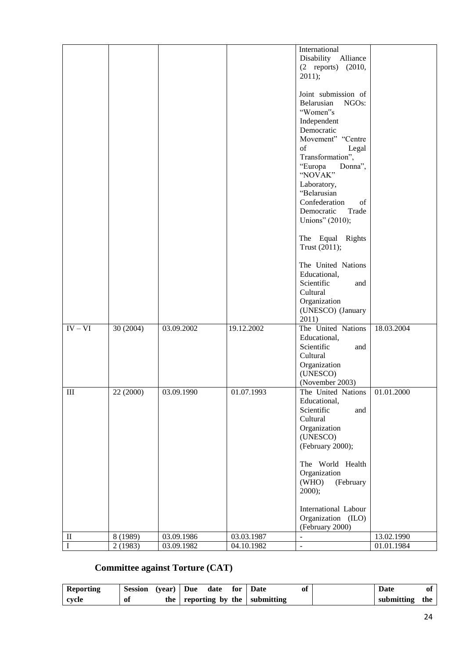|                   |                     |                          |                          | International<br>Disability Alliance                    |                          |
|-------------------|---------------------|--------------------------|--------------------------|---------------------------------------------------------|--------------------------|
|                   |                     |                          |                          | (2 reports) (2010,<br>2011);                            |                          |
|                   |                     |                          |                          |                                                         |                          |
|                   |                     |                          |                          | Joint submission of<br>Belarusian<br>NGO <sub>s</sub> : |                          |
|                   |                     |                          |                          | "Women"s                                                |                          |
|                   |                     |                          |                          | Independent<br>Democratic                               |                          |
|                   |                     |                          |                          | Movement" "Centre                                       |                          |
|                   |                     |                          |                          | of<br>Legal<br>Transformation",                         |                          |
|                   |                     |                          |                          | "Europa<br>Donna",                                      |                          |
|                   |                     |                          |                          | "NOVAK"<br>Laboratory,                                  |                          |
|                   |                     |                          |                          | "Belarusian                                             |                          |
|                   |                     |                          |                          | Confederation<br>of                                     |                          |
|                   |                     |                          |                          | Democratic<br>Trade<br>Unions" (2010);                  |                          |
|                   |                     |                          |                          | The Equal Rights                                        |                          |
|                   |                     |                          |                          | Trust (2011);                                           |                          |
|                   |                     |                          |                          | The United Nations                                      |                          |
|                   |                     |                          |                          | Educational,<br>Scientific<br>and                       |                          |
|                   |                     |                          |                          | Cultural                                                |                          |
|                   |                     |                          |                          | Organization                                            |                          |
|                   |                     |                          |                          | (UNESCO) (January<br>2011)                              |                          |
| $IV - VI$         | 30 (2004)           | 03.09.2002               | 19.12.2002               | The United Nations                                      | 18.03.2004               |
|                   |                     |                          |                          | Educational,<br>Scientific<br>and                       |                          |
|                   |                     |                          |                          | Cultural                                                |                          |
|                   |                     |                          |                          | Organization<br>(UNESCO)                                |                          |
|                   |                     |                          |                          | (November 2003)                                         |                          |
| $\;$ III          | 22 (2000)           | 03.09.1990               | 01.07.1993               | The United Nations   01.01.2000<br>Educational,         |                          |
|                   |                     |                          |                          | Scientific<br>and                                       |                          |
|                   |                     |                          |                          | Cultural<br>Organization                                |                          |
|                   |                     |                          |                          | (UNESCO)                                                |                          |
|                   |                     |                          |                          | (February 2000);                                        |                          |
|                   |                     |                          |                          | The World Health                                        |                          |
|                   |                     |                          |                          | Organization                                            |                          |
|                   |                     |                          |                          | (WHO)<br>(February<br>$2000$ ;                          |                          |
|                   |                     |                          |                          |                                                         |                          |
|                   |                     |                          |                          | International Labour<br>Organization (ILO)              |                          |
|                   |                     |                          |                          | (February 2000)                                         |                          |
| $\mathbf{I}$<br>Ι | 8 (1989)<br>2(1983) | 03.09.1986<br>03.09.1982 | 03.03.1987<br>04.10.1982 | $\blacksquare$<br>$\blacksquare$                        | 13.02.1990<br>01.01.1984 |
|                   |                     |                          |                          |                                                         |                          |

# **[Committee against Torture](http://www.ohchr.org/en/hrbodies/cat/pages/catindex.aspx) (CAT)**

| Reporting | <b>Session</b> | $(year)$ Due | date | for Date                        | of | Date           | Ol |
|-----------|----------------|--------------|------|---------------------------------|----|----------------|----|
| cvcle     | - 01           |              |      | the reporting by the submitting |    | submitting the |    |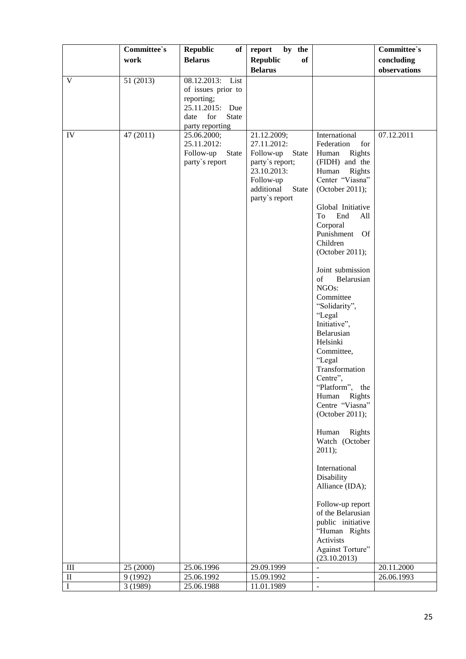|           | Committee's | <b>Republic</b><br>of <sub>1</sub>                                                                 | by the<br>report                                                                                                                                       |                                                                                                                                                                                                                                                                                                                                                                                                                                                                                                                                                                                                                                                                                                                                       | Committee's  |
|-----------|-------------|----------------------------------------------------------------------------------------------------|--------------------------------------------------------------------------------------------------------------------------------------------------------|---------------------------------------------------------------------------------------------------------------------------------------------------------------------------------------------------------------------------------------------------------------------------------------------------------------------------------------------------------------------------------------------------------------------------------------------------------------------------------------------------------------------------------------------------------------------------------------------------------------------------------------------------------------------------------------------------------------------------------------|--------------|
|           | work        | <b>Belarus</b>                                                                                     | <b>Republic</b><br>of                                                                                                                                  |                                                                                                                                                                                                                                                                                                                                                                                                                                                                                                                                                                                                                                                                                                                                       | concluding   |
|           |             |                                                                                                    | <b>Belarus</b>                                                                                                                                         |                                                                                                                                                                                                                                                                                                                                                                                                                                                                                                                                                                                                                                                                                                                                       | observations |
| V         | 51 (2013)   | 08.12.2013:<br>List<br>of issues prior to<br>reporting;<br>25.11.2015: Due<br>for<br>State<br>date |                                                                                                                                                        |                                                                                                                                                                                                                                                                                                                                                                                                                                                                                                                                                                                                                                                                                                                                       |              |
| IV        | 47 (2011)   | party reporting<br>25.06.2000;<br>25.11.2012:<br>Follow-up<br>State<br>party's report              | 21.12.2009;<br>27.11.2012:<br>Follow-up<br><b>State</b><br>party's report;<br>23.10.2013:<br>Follow-up<br>additional<br><b>State</b><br>party's report | International<br>Federation<br>for<br>Rights<br>Human<br>(FIDH) and the<br>Human<br>Rights<br>Center "Viasna"<br>(October 2011);<br>Global Initiative<br>To<br>End<br>All<br>Corporal<br>Punishment<br><b>Of</b><br>Children<br>(October 2011);<br>Joint submission<br>of<br>Belarusian<br>NGOs:<br>Committee<br>"Solidarity",<br>"Legal<br>Initiative",<br>Belarusian<br>Helsinki<br>Committee,<br>"Legal<br>Transformation<br>Centre",<br>"Platform", the<br>Human<br>Rights<br>Centre "Viasna"<br>(October 2011);<br>Human<br>Rights<br>Watch (October<br>2011);<br>International<br>Disability<br>Alliance (IDA);<br>Follow-up report<br>of the Belarusian<br>public initiative<br>"Human Rights<br>Activists<br>Against Torture" | 07.12.2011   |
| $\rm III$ | 25 (2000)   | 25.06.1996                                                                                         | 29.09.1999                                                                                                                                             | (23.10.2013)                                                                                                                                                                                                                                                                                                                                                                                                                                                                                                                                                                                                                                                                                                                          | 20.11.2000   |
| $\rm II$  | 9 (1992)    | 25.06.1992                                                                                         | 15.09.1992                                                                                                                                             | $\overline{\phantom{0}}$                                                                                                                                                                                                                                                                                                                                                                                                                                                                                                                                                                                                                                                                                                              | 26.06.1993   |
| I         | 3 (1989)    | 25.06.1988                                                                                         | 11.01.1989                                                                                                                                             | $\overline{\phantom{m}}$                                                                                                                                                                                                                                                                                                                                                                                                                                                                                                                                                                                                                                                                                                              |              |
|           |             |                                                                                                    |                                                                                                                                                        |                                                                                                                                                                                                                                                                                                                                                                                                                                                                                                                                                                                                                                                                                                                                       |              |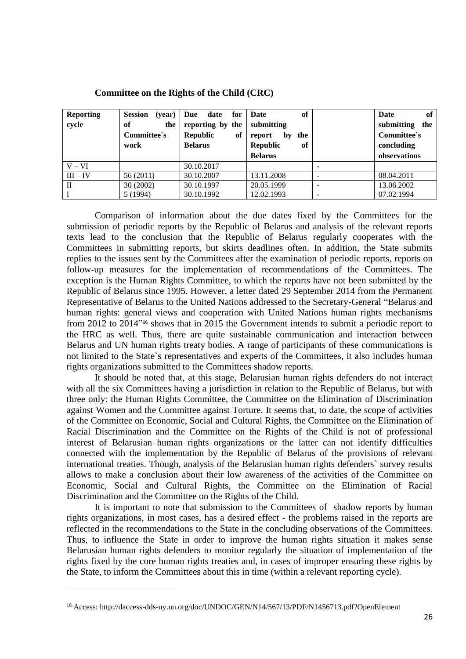| <b>Reporting</b><br>cycle | <b>Session</b><br>(year)<br>of<br>the<br>Committee's<br>work | for<br>date<br>Due<br>reporting by the<br><b>Republic</b><br>of<br><b>Belarus</b> | of<br>Date<br>submitting<br>the<br>report<br>by<br>Republic<br>of | Date<br>of<br>submitting<br>the<br>Committee's<br>concluding |
|---------------------------|--------------------------------------------------------------|-----------------------------------------------------------------------------------|-------------------------------------------------------------------|--------------------------------------------------------------|
|                           |                                                              |                                                                                   | <b>Belarus</b>                                                    | observations                                                 |
| $V - VI$                  |                                                              | 30.10.2017                                                                        |                                                                   |                                                              |
| $III - IV$                | 56 (2011)                                                    | 30.10.2007                                                                        | 13.11.2008                                                        | 08.04.2011                                                   |
| П                         | 30(2002)                                                     | 30.10.1997                                                                        | 20.05.1999                                                        | 13.06.2002                                                   |
|                           | 5(1994)                                                      | 30.10.1992                                                                        | 12.02.1993                                                        | 07.02.1994                                                   |

**[Committee on the Rights of the Child](http://www.ohchr.org/EN/HRBodies/CRC/Pages/CRCIndex.aspx) (CRC)**

Comparison of information about the due dates fixed by the Committees for the submission of periodic reports by the Republic of Belarus and analysis of the relevant reports texts lead to the conclusion that the Republic of Belarus regularly cooperates with the Committees in submitting reports, but skirts deadlines often. In addition, the State submits replies to the issues sent by the Committees after the examination of periodic reports, reports on follow-up measures for the implementation of recommendations of the Committees. The exception is the Human Rights Committee, to which the reports have not been submitted by the Republic of Belarus since 1995. However, a letter dated 29 September 2014 from the Permanent Representative of Belarus to the United Nations addressed to the Secretary-General "Belarus and human rights: general views and cooperation with United Nations human rights mechanisms from 2012 to 2014<sup>716</sup> shows that in 2015 the Government intends to submit a periodic report to the HRC as well. Thus, there are quite sustainable communication and interaction between Belarus and UN human rights treaty bodies. A range of participants of these communications is not limited to the State`s representatives and experts of the Committees, it also includes human rights organizations submitted to the Committees shadow reports.

It should be noted that, at this stage, Belarusian human rights defenders do not interact with all the six Committees having a jurisdiction in relation to the Republic of Belarus, but with three only: the Human Rights Committee, the Committee on the Elimination of Discrimination against Women and the Committee against Torture. It seems that, to date, the scope of activities of the Committee on Economic, Social and Cultural Rights, the Committee on the Elimination of Racial Discrimination and the Committee on the Rights of the Child is not of professional interest of Belarusian human rights organizations or the latter can not identify difficulties connected with the implementation by the Republic of Belarus of the provisions of relevant international treaties. Though, analysis of the Belarusian human rights defenders` survey results allows to make a conclusion about their low awareness of the activities of the Committee on Economic, Social and Cultural Rights, the Committee on the Elimination of Racial Discrimination and the Committee on the Rights of the Child.

It is important to note that submission to the Committees of shadow reports by human rights organizations, in most cases, has a desired effect - the problems raised in the reports are reflected in the recommendations to the State in the concluding observations of the Committees. Thus, to influence the State in order to improve the human rights situation it makes sense Belarusian human rights defenders to monitor regularly the situation of implementation of the rights fixed by the core human rights treaties and, in cases of improper ensuring these rights by the State, to inform the Committees about this in time (within a relevant reporting cycle).

<sup>16</sup> Access: http://daccess-dds-ny.un.org/doc/UNDOC/GEN/N14/567/13/PDF/N1456713.pdf?OpenElement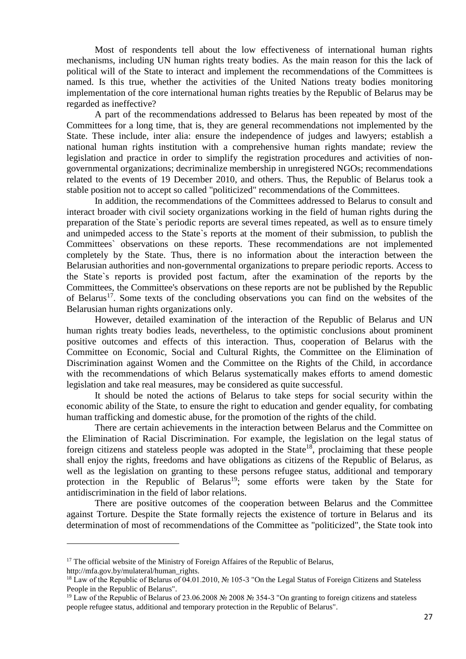Most of respondents tell about the low effectiveness of international human rights mechanisms, including UN human rights treaty bodies. As the main reason for this the lack of political will of the State to interact and implement the recommendations of the Committees is named. Is this true, whether the activities of the United Nations treaty bodies monitoring implementation of the core international human rights treaties by the Republic of Belarus may be regarded as ineffective?

A part of the recommendations addressed to Belarus has been repeated by most of the Committees for a long time, that is, they are general recommendations not implemented by the State. These include, inter alia: ensure the independence of judges and lawyers; establish a national human rights institution with a comprehensive human rights mandate; review the legislation and practice in order to simplify the registration procedures and activities of nongovernmental organizations; decriminalize membership in unregistered NGOs; recommendations related to the events of 19 December 2010, and others. Thus, the Republic of Belarus took a stable position not to accept so called "politicized" recommendations of the Committees.

In addition, the recommendations of the Committees addressed to Belarus to consult and interact broader with civil society organizations working in the field of human rights during the preparation of the State`s periodic reports are several times repeated, as well as to ensure timely and unimpeded access to the State`s reports at the moment of their submission, to publish the Committees` observations on these reports. These recommendations are not implemented completely by the State. Thus, there is no information about the interaction between the Belarusian authorities and non-governmental organizations to prepare periodic reports. Access to the State`s reports is provided post factum, after the examination of the reports by the Committees, the Committee's observations on these reports are not be published by the Republic of Belarus<sup>17</sup>. Some texts of the concluding observations you can find on the websites of the Belarusian human rights organizations only.

However, detailed examination of the interaction of the Republic of Belarus and UN human rights treaty bodies leads, nevertheless, to the optimistic conclusions about prominent positive outcomes and effects of this interaction. Thus, cooperation of Belarus with the Committee on Economic, Social and Cultural Rights, the Committee on the Elimination of Discrimination against Women and the Committee on the Rights of the Child, in accordance with the recommendations of which Belarus systematically makes efforts to amend domestic legislation and take real measures, may be considered as quite successful.

It should be noted the actions of Belarus to take steps for social security within the economic ability of the State, to ensure the right to education and gender equality, for combating human trafficking and domestic abuse, for the promotion of the rights of the child.

There are certain achievements in the interaction between Belarus and the Committee on the Elimination of Racial Discrimination. For example, the legislation on the legal status of foreign citizens and stateless people was adopted in the State<sup>18</sup>, proclaiming that these people shall enjoy the rights, freedoms and have obligations as citizens of the Republic of Belarus, as well as the legislation on granting to these persons refugee status, additional and temporary protection in the Republic of Belarus<sup>19</sup>; some efforts were taken by the State for antidiscrimination in the field of labor relations.

There are positive outcomes of the cooperation between Belarus and the Committee against Torture. Despite the State formally rejects the existence of torture in Belarus and its determination of most of recommendations of the Committee as "politicized", the State took into

1

 $17$  The official website of the Ministry of Foreign Affaires of the Republic of Belarus, http://mfa.gov.by/mulateral/human\_rights.

<sup>18</sup> Law of the Republic of Belarus of 04.01.2010, № 105-3 "On the Legal Status of Foreign Citizens and Stateless People in the Republic of Belarus".

<sup>19</sup> Law of the Republic of Belarus of 23.06.2008 № 2008 № 354-3 "On granting to foreign citizens and stateless people refugee status, additional and temporary protection in the Republic of Belarus".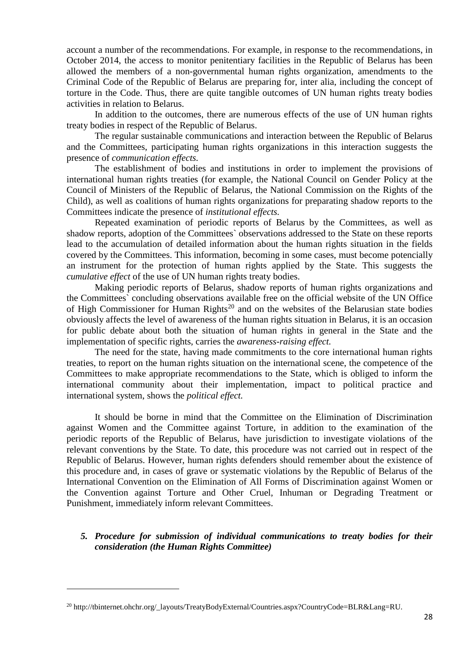account a number of the recommendations. For example, in response to the recommendations, in October 2014, the access to monitor penitentiary facilities in the Republic of Belarus has been allowed the members of a non-governmental human rights organization, amendments to the Criminal Code of the Republic of Belarus are preparing for, inter alia, including the concept of torture in the Code. Thus, there are quite tangible outcomes of UN human rights treaty bodies activities in relation to Belarus.

In addition to the outcomes, there are numerous effects of the use of UN human rights treaty bodies in respect of the Republic of Belarus.

The regular sustainable communications and interaction between the Republic of Belarus and the Committees, participating human rights organizations in this interaction suggests the presence of *communication effects.*

The establishment of bodies and institutions in order to implement the provisions of international human rights treaties (for example, the National Council on Gender Policy at the Council of Ministers of the Republic of Belarus, the National Commission on the Rights of the Child), as well as coalitions of human rights organizations for preparating shadow reports to the Committees indicate the presence of *institutional effects.*

Repeated examination of periodic reports of Belarus by the Committees, as well as shadow reports, adoption of the Committees` observations addressed to the State on these reports lead to the accumulation of detailed information about the human rights situation in the fields covered by the Committees. This information, becoming in some cases, must become potencially an instrument for the protection of human rights applied by the State. This suggests the *cumulative effect* of the use of UN human rights treaty bodies.

Making periodic reports of Belarus, shadow reports of human rights organizations and the Committees` concluding observations available free on the official website of the UN Office of High Commissioner for Human Rights<sup>20</sup> and on the websites of the Belarusian state bodies obviously affects the level of awareness of the human rights situation in Belarus, it is an occasion for public debate about both the situation of human rights in general in the State and the implementation of specific rights, carries the *awareness-raising effect.*

The need for the state, having made commitments to the core international human rights treaties, to report on the human rights situation on the international scene, the competence of the Committees to make appropriate recommendations to the State, which is obliged to inform the international community about their implementation, impact to political practice and international system, shows the *political effect.*

It should be borne in mind that the Committee on the Elimination of Discrimination against Women and the Committee against Torture, in addition to the examination of the periodic reports of the Republic of Belarus, have jurisdiction to investigate violations of the relevant conventions by the State. To date, this procedure was not carried out in respect of the Republic of Belarus. However, human rights defenders should remember about the existence of this procedure and, in cases of grave or systematic violations by the Republic of Belarus of the International Convention on the Elimination of All Forms of Discrimination against Women or the Convention against Torture and Other Cruel, Inhuman or Degrading Treatment or Punishment, immediately inform relevant Committees.

*5. Procedure for submission of individual communications to treaty bodies for their consideration (the Human Rights Committee)*

<sup>&</sup>lt;sup>20</sup> http://tbinternet.ohchr.org/\_layouts/TreatyBodyExternal/Countries.aspx?CountryCode=BLR&Lang=RU.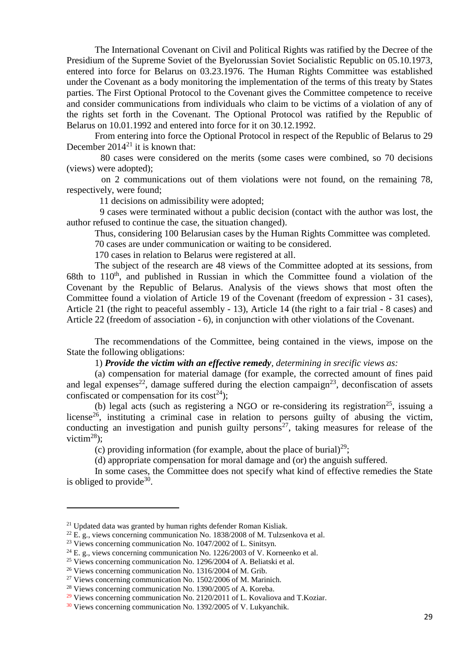The International Covenant on Civil and Political Rights was ratified by the Decree of the Presidium of the Supreme Soviet of the Byelorussian Soviet Socialistic Republic on 05.10.1973, entered into force for Belarus on 03.23.1976. The Human Rights Committee was established under the Covenant as a body monitoring the implementation of the terms of this treaty by States parties. The First Optional Protocol to the Covenant gives the Committee competence to receive and consider communications from individuals who claim to be victims of a violation of any of the rights set forth in the Covenant. The Optional Protocol was ratified by the Republic of Belarus on 10.01.1992 and entered into force for it on 30.12.1992.

From entering into force the Optional Protocol in respect of the Republic of Belarus to 29 December  $2014^{21}$  it is known that:

80 cases were considered on the merits (some cases were combined, so 70 decisions (views) were adopted);

on 2 communications out of them violations were not found, on the remaining 78, respectively, were found;

11 decisions on admissibility were adopted;

9 cases were terminated without a public decision (contact with the author was lost, the author refused to continue the case, the situation changed).

Thus, considering 100 Belarusian cases by the Human Rights Committee was completed.

70 cases are under communication or waiting to be considered.

170 cases in relation to Belarus were registered at all.

The subject of the research are 48 views of the Committee adopted at its sessions, from 68th to 110<sup>th</sup>, and published in Russian in which the Committee found a violation of the Covenant by the Republic of Belarus. Analysis of the views shows that most often the Committee found a violation of Article 19 of the Covenant (freedom of expression - 31 cases), Article 21 (the right to peaceful assembly - 13), Article 14 (the right to a fair trial - 8 cases) and Article 22 (freedom of association - 6), in conjunction with other violations of the Covenant.

The recommendations of the Committee, being contained in the views, impose on the State the following obligations:

1) *Provide the victim with an effective remedy, determining in srecific views as:*

(a) compensation for material damage (for example, the corrected amount of fines paid and legal expenses<sup>22</sup>, damage suffered during the election campaign<sup>23</sup>, deconfiscation of assets confiscated or compensation for its cost<sup>24</sup>);

(b) legal acts (such as registering a NGO or re-considering its registration<sup>25</sup>, issuing a license<sup>26</sup>, instituting a criminal case in relation to persons guilty of abusing the victim, conducting an investigation and punish guilty persons<sup>27</sup>, taking measures for release of the victim<sup>28</sup>);

(c) providing information (for example, about the place of burial) $^{29}$ ;

(d) appropriate compensation for moral damage and (or) the anguish suffered.

In some cases, the Committee does not specify what kind of effective remedies the State is obliged to provide $30$ .

<sup>&</sup>lt;sup>21</sup> Updated data was granted by human rights defender Roman Kisliak.

 $22$  E. g., views concerning communication No. 1838/2008 of M. Tulzsenkova et al.

<sup>&</sup>lt;sup>23</sup> Views concerning communication No. 1047/2002 of L. Sinitsyn.

 $24$  E. g., views concerning communication No. 1226/2003 of V. Korneenko et al.

<sup>&</sup>lt;sup>25</sup> Views concerning communication No. 1296/2004 of A. Beliatski et al.

<sup>&</sup>lt;sup>26</sup> Views concerning communication No. 1316/2004 of M. Grib.

<sup>27</sup> Views concerning communication No. 1502/2006 of M. Marinich.

<sup>28</sup> Views concerning communication No. 1390/2005 of A. Koreba.

 $29$  Views concerning communication No. 2120/2011 of L. Kovaliova and T. Koziar.

<sup>&</sup>lt;sup>30</sup> Views concerning communication No. 1392/2005 of V. Lukyanchik.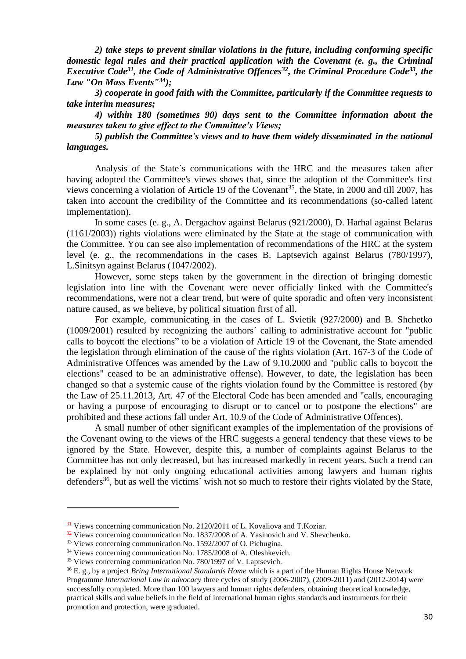*2) take steps to prevent similar violations in the future, including conforming specific domestic legal rules and their practical application with the Covenant (e. g., the Criminal Executive Code<sup>31</sup>, the Code of Administrative Offences<sup>32</sup> , the Criminal Procedure Code<sup>33</sup>, the Law "On Mass Events" <sup>34</sup>);*

*3) cooperate in good faith with the Committee, particularly if the Committee requests to take interim measures;*

*4) within 180 (sometimes 90) days sent to the Committee information about the measures taken to give effect to the Committee's Views;*

*5) publish the Committee's views and to have them widely disseminated in the national languages.*

Analysis of the State`s communications with the HRC and the measures taken after having adopted the Committee's views shows that, since the adoption of the Committee's first views concerning a violation of Article 19 of the Covenant<sup>35</sup>, the State, in 2000 and till 2007, has taken into account the credibility of the Committee and its recommendations (so-called latent implementation).

In some cases (e. g., A. Dergachov against Belarus (921/2000), D. Harhal against Belarus (1161/2003)) rights violations were eliminated by the State at the stage of communication with the Committee. You can see also implementation of recommendations of the HRC at the system level (e. g., the recommendations in the cases B. Laptsevich against Belarus (780/1997), L.Sinitsyn against Belarus (1047/2002).

However, some steps taken by the government in the direction of bringing domestic legislation into line with the Covenant were never officially linked with the Committee's recommendations, were not a clear trend, but were of quite sporadic and often very inconsistent nature caused, as we believe, by political situation first of all.

For example, communicating in the cases of L. Svietik (927/2000) and B. Shchetko (1009/2001) resulted by recognizing the authors` calling to administrative account for "public calls to boycott the elections" to be a violation of Article 19 of the Covenant, the State amended the legislation through elimination of the cause of the rights violation (Art. 167-3 of the Code of Administrative Offences was amended by the Law of 9.10.2000 and "public calls to boycott the elections" ceased to be an administrative offense). However, to date, the legislation has been changed so that a systemic cause of the rights violation found by the Committee is restored (by the Law of 25.11.2013, Art. 47 of the Electoral Code has been amended and "calls, encouraging or having a purpose of encouraging to disrupt or to cancel or to postpone the elections" are prohibited and these actions fall under Art. 10.9 of the Code of Administrative Offences).

A small number of other significant examples of the implementation of the provisions of the Covenant owing to the views of the HRC suggests a general tendency that these views to be ignored by the State. However, despite this, a number of complaints against Belarus to the Committee has not only decreased, but has increased markedly in recent years. Such a trend can be explained by not only ongoing educational activities among lawyers and human rights defenders<sup>36</sup>, but as well the victims` wish not so much to restore their rights violated by the State,

<sup>&</sup>lt;sup>31</sup> Views concerning communication No. 2120/2011 of L. Kovaliova and T.Koziar.

 $32$  Views concerning communication No. 1837/2008 of A. Yasinovich and V. Shevchenko.

<sup>33</sup> Views concerning communication No. 1592/2007 of O. Pichugina.

<sup>34</sup> Views concerning communication No. 1785/2008 of A. Oleshkevich.

<sup>&</sup>lt;sup>35</sup> Views concerning communication No. 780/1997 of V. Laptsevich.

<sup>36</sup> E. g., by a project *Bring International Standards Home* which is a part of the Human Rights House Network Programme *International Law in advocacy* three cycles of study (2006-2007), (2009-2011) and (2012-2014) were successfully completed. More than 100 lawyers and human rights defenders, obtaining theoretical knowledge, practical skills and value beliefs in the field of international human rights standards and instruments for their promotion and protection, were graduated.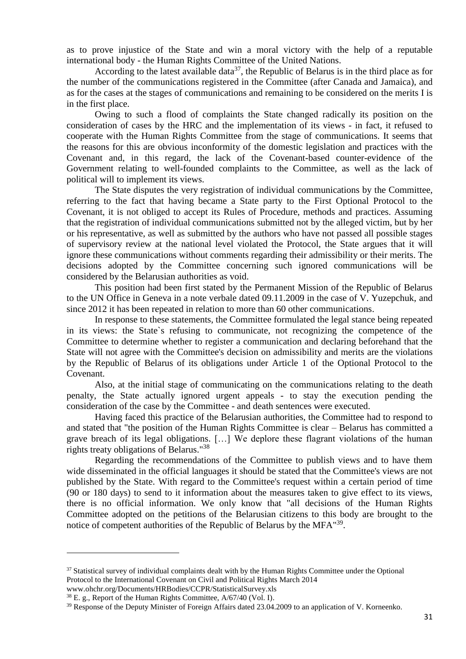as to prove injustice of the State and win a moral victory with the help of a reputable international body - the Human Rights Committee of the United Nations.

According to the latest available data<sup>37</sup>, the Republic of Belarus is in the third place as for the number of the communications registered in the Committee (after Canada and Jamaica), and as for the cases at the stages of communications and remaining to be considered on the merits I is in the first place.

Owing to such a flood of complaints the State changed radically its position on the consideration of cases by the HRC and the implementation of its views - in fact, it refused to cooperate with the Human Rights Committee from the stage of communications. It seems that the reasons for this are obvious inconformity of the domestic legislation and practices with the Covenant and, in this regard, the lack of the Covenant-based counter-evidence of the Government relating to well-founded complaints to the Committee, as well as the lack of political will to implement its views.

The State disputes the very registration of individual communications by the Committee, referring to the fact that having became a State party to the First Optional Protocol to the Covenant, it is not obliged to accept its Rules of Procedure, methods and practices. Assuming that the registration of individual communications submitted not by the alleged victim, but by her or his representative, as well as submitted by the authors who have not passed all possible stages of supervisory review at the national level violated the Protocol, the State argues that it will ignore these communications without comments regarding their admissibility or their merits. The decisions adopted by the Committee concerning such ignored communications will be considered by the Belarusian authorities as void.

This position had been first stated by the Permanent Mission of the Republic of Belarus to the UN Office in Geneva in a note verbale dated 09.11.2009 in the case of V. Yuzepchuk, and since 2012 it has been repeated in relation to more than 60 other communications.

In response to these statements, the Committee formulated the legal stance being repeated in its views: the State`s refusing to communicate, not recognizing the competence of the Committee to determine whether to register a communication and declaring beforehand that the State will not agree with the Committee's decision on admissibility and merits are the violations by the Republic of Belarus of its obligations under Article 1 of the Optional Protocol to the Covenant.

Also, at the initial stage of communicating on the communications relating to the death penalty, the State actually ignored urgent appeals - to stay the execution pending the consideration of the case by the Committee - and death sentences were executed.

Having faced this practice of the Belarusian authorities, the Committee had to respond to and stated that "the position of the Human Rights Committee is clear – Belarus has committed a grave breach of its legal obligations. […] We deplore these flagrant violations of the human rights treaty obligations of Belarus." 38

Regarding the recommendations of the Committee to publish views and to have them wide disseminated in the official languages it should be stated that the Committee's views are not published by the State. With regard to the Committee's request within a certain period of time (90 or 180 days) to send to it information about the measures taken to give effect to its views, there is no official information. We only know that "all decisions of the Human Rights Committee adopted on the petitions of the Belarusian citizens to this body are brought to the notice of competent authorities of the Republic of Belarus by the MFA<sup>"39</sup>.

www.ohchr.org/Documents/HRBodies/CCPR/StatisticalSurvey.xls

1

 $37$  Statistical survey of individual complaints dealt with by the Human Rights Committee under the Optional Protocol to the International Covenant on Civil and Political Rights March 2014

 $38$  E. g., Report of the Human Rights Committee,  $A/67/40$  (Vol. I).

<sup>&</sup>lt;sup>39</sup> Response of the Deputy Minister of Foreign Affairs dated 23.04.2009 to an application of V. Korneenko.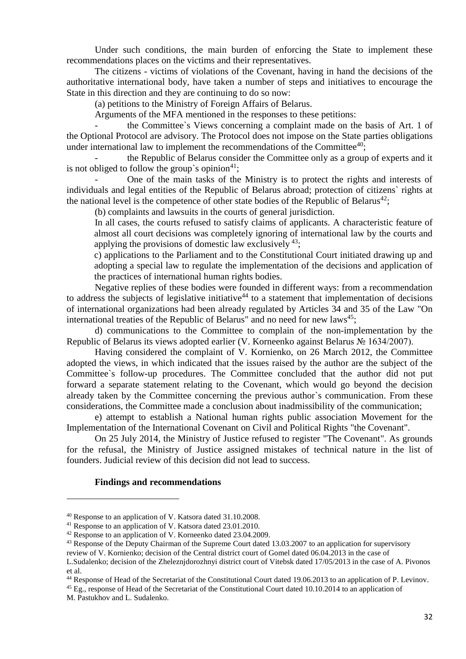Under such conditions, the main burden of enforcing the State to implement these recommendations places on the victims and their representatives.

The citizens - victims of violations of the Covenant, having in hand the decisions of the authoritative international body, have taken a number of steps and initiatives to encourage the State in this direction and they are continuing to do so now:

(a) petitions to the Ministry of Foreign Affairs of Belarus.

Arguments of the MFA mentioned in the responses to these petitions:

the Committee's Views concerning a complaint made on the basis of Art. 1 of the Optional Protocol are advisory. The Protocol does not impose on the State parties obligations under international law to implement the recommendations of the Committee<sup>40</sup>;

- the Republic of Belarus consider the Committee only as a group of experts and it is not obliged to follow the group's opinion<sup>41</sup>:

- One of the main tasks of the Ministry is to protect the rights and interests of individuals and legal entities of the Republic of Belarus abroad; protection of citizens` rights at the national level is the competence of other state bodies of the Republic of Belarus<sup>42</sup>;

(b) complaints and lawsuits in the courts of general jurisdiction.

In all cases, the courts refused to satisfy claims of applicants. A characteristic feature of almost all court decisions was completely ignoring of international law by the courts and applying the provisions of domestic law exclusively  $43$ .

c) applications to the Parliament and to the Constitutional Court initiated drawing up and adopting a special law to regulate the implementation of the decisions and application of the practices of international human rights bodies.

Negative replies of these bodies were founded in different ways: from a recommendation to address the subjects of legislative initiative<sup>44</sup> to a statement that implementation of decisions of international organizations had been already regulated by Articles 34 and 35 of the Law "On international treaties of the Republic of Belarus" and no need for new laws<sup>45</sup>;

d) communications to the Committee to complain of the non-implementation by the Republic of Belarus its views adopted earlier (V. Korneenko against Belarus № 1634/2007).

Having considered the complaint of V. Kornienko, on 26 March 2012, the Committee adopted the views, in which indicated that the issues raised by the author are the subject of the Committee`s follow-up procedures. The Committee concluded that the author did not put forward a separate statement relating to the Covenant, which would go beyond the decision already taken by the Committee concerning the previous author`s communication. From these considerations, the Committee made a conclusion about inadmissibility of the communication;

e) attempt to establish a National human rights public association Movement for the Implementation of the International Covenant on Civil and Political Rights "the Covenant".

On 25 July 2014, the Ministry of Justice refused to register "The Covenant". As grounds for the refusal, the Ministry of Justice assigned mistakes of technical nature in the list of founders. Judicial review of this decision did not lead to success.

#### **Findings and recommendations**

<sup>43</sup> Response of the Deputy Chairman of the Supreme Court dated 13.03.2007 to an application for supervisory

<sup>44</sup> Response of Head of the Secretariat of the Constitutional Court dated 19.06.2013 to an application of P. Levinov.

<sup>45</sup> Eg., response of Head of the Secretariat of the Constitutional Court dated 10.10.2014 to an application of

<sup>40</sup> Response to an application of V. Katsora dated 31.10.2008.

<sup>&</sup>lt;sup>41</sup> Response to an application of V. Katsora dated 23.01.2010.

<sup>&</sup>lt;sup>42</sup> Response to an application of V. Korneenko dated 23.04.2009.

review of V. Kornienko; decision of the Central district court of Gomel dated 06.04.2013 in the case of L.Sudalenko; decision of the Zheleznjdorozhnyi district court of Vitebsk dated 17/05/2013 in the case of A. Pivonos et al.

M. Pastukhov and L. Sudalenko.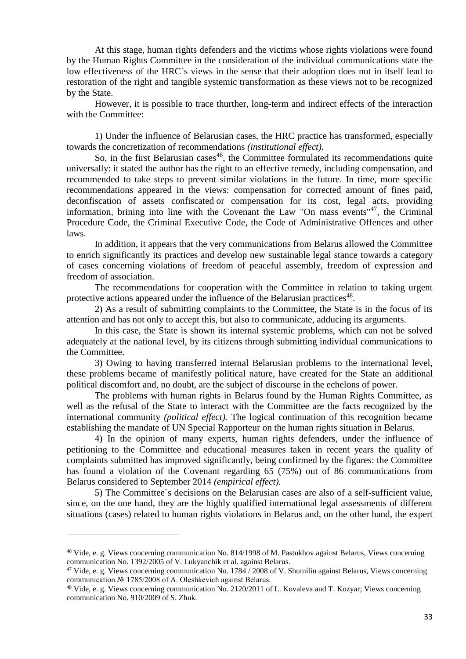At this stage, human rights defenders and the victims whose rights violations were found by the Human Rights Committee in the consideration of the individual communications state the low effectiveness of the HRC`s views in the sense that their adoption does not in itself lead to restoration of the right and tangible systemic transformation as these views not to be recognized by the State.

However, it is possible to trace thurther, long-term and indirect effects of the interaction with the Committee:

1) Under the influence of Belarusian cases, the HRC practice has transformed, especially towards the concretization of recommendations *(institutional effect).*

So, in the first Belarusian cases<sup>46</sup>, the Committee formulated its recommendations quite universally: it stated the author has the right to an effective remedy, including compensation, and recommended to take steps to prevent similar violations in the future. In time, more specific recommendations appeared in the views: compensation for corrected amount of fines paid, deconfiscation of assets confiscated or compensation for its cost, legal acts, providing information, brining into line with the Covenant the Law "On mass events"<sup>47</sup>, the Criminal Procedure Code, the Criminal Executive Code, the Code of Administrative Offences and other laws.

In addition, it appears that the very communications from Belarus allowed the Committee to enrich significantly its practices and develop new sustainable legal stance towards a category of cases concerning violations of freedom of peaceful assembly, freedom of expression and freedom of association.

The recommendations for cooperation with the Committee in relation to taking urgent protective actions appeared under the influence of the Belarusian practices<sup>48</sup>.

2) As a result of submitting complaints to the Committee, the State is in the focus of its attention and has not only to accept this, but also to communicate, adducing its arguments.

In this case, the State is shown its internal systemic problems, which can not be solved adequately at the national level, by its citizens through submitting individual communications to the Committee.

3) Owing to having transferred internal Belarusian problems to the international level, these problems became of manifestly political nature, have created for the State an additional political discomfort and, no doubt, are the subject of discourse in the echelons of power.

The problems with human rights in Belarus found by the Human Rights Committee, as well as the refusal of the State to interact with the Committee are the facts recognized by the international community *(political effect).* The logical continuation of this recognition became establishing the mandate of UN Special Rapporteur on the human rights situation in Belarus.

4) In the opinion of many experts, human rights defenders, under the influence of petitioning to the Committee and educational measures taken in recent years the quality of complaints submitted has improved significantly, being confirmed by the figures: the Committee has found a violation of the Covenant regarding 65 (75%) out of 86 communications from Belarus considered to September 2014 *(empirical effect).*

5) The Committee`s decisions on the Belarusian cases are also of a self-sufficient value, since, on the one hand, they are the highly qualified international legal assessments of different situations (cases) related to human rights violations in Belarus and, on the other hand, the expert

<sup>46</sup> Vide, e. g. Views concerning communication No. 814/1998 of M. Pastukhov against Belarus, Views concerning communication No. 1392/2005 of V. Lukyanchik et al. against Belarus.

<sup>47</sup> Vide, e. g. Views concerning communication No. 1784 / 2008 of V. Shumilin against Belarus, Views concerning communication № 1785/2008 of A. Oleshkevich against Belarus.

<sup>48</sup> Vide, e. g. Views concerning communication No. 2120/2011 of L. Kovaleva and T. Kozyar; Views concerning communication No. 910/2009 of S. Zhuk.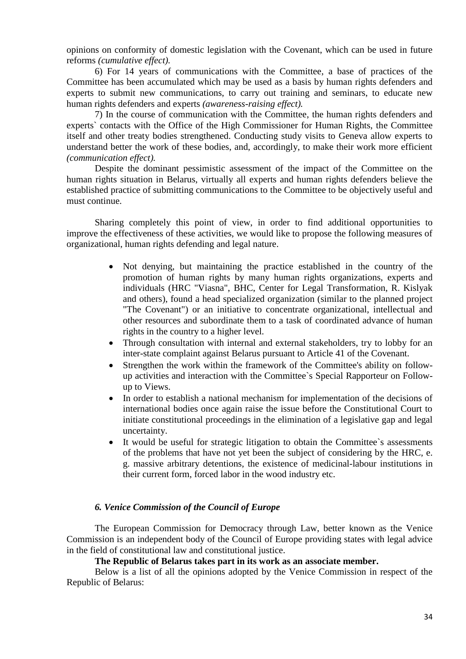opinions on conformity of domestic legislation with the Covenant, which can be used in future reforms *(cumulative effect).*

6) For 14 years of communications with the Committee, a base of practices of the Committee has been accumulated which may be used as a basis by human rights defenders and experts to submit new communications, to carry out training and seminars, to educate new human rights defenders and experts *(awareness-raising effect).*

7) In the course of communication with the Committee, the human rights defenders and experts` contacts with the Office of the High Commissioner for Human Rights, the Committee itself and other treaty bodies strengthened. Conducting study visits to Geneva allow experts to understand better the work of these bodies, and, accordingly, to make their work more efficient *(communication effect).*

Despite the dominant pessimistic assessment of the impact of the Committee on the human rights situation in Belarus, virtually all experts and human rights defenders believe the established practice of submitting communications to the Committee to be objectively useful and must continue.

Sharing completely this point of view, in order to find additional opportunities to improve the effectiveness of these activities, we would like to propose the following measures of organizational, human rights defending and legal nature.

- Not denying, but maintaining the practice established in the country of the promotion of human rights by many human rights organizations, experts and individuals (HRC "Viasna", BHC, Center for Legal Transformation, R. Kislyak and others), found a head specialized organization (similar to the planned project "The Covenant") or an initiative to concentrate organizational, intellectual and other resources and subordinate them to a task of coordinated advance of human rights in the country to a higher level.
- Through consultation with internal and external stakeholders, try to lobby for an inter-state complaint against Belarus pursuant to Article 41 of the Covenant.
- Strengthen the work within the framework of the Committee's ability on followup activities and interaction with the Committee`s Special Rapporteur on Followup to Views.
- In order to establish a national mechanism for implementation of the decisions of international bodies once again raise the issue before the Constitutional Court to initiate constitutional proceedings in the elimination of a legislative gap and legal uncertainty.
- It would be useful for strategic litigation to obtain the Committee`s assessments of the problems that have not yet been the subject of considering by the HRC, e. g. massive arbitrary detentions, the existence of medicinal-labour institutions in their current form, forced labor in the wood industry etc.

### *6. Venice Commission of the Council of Europe*

The European Commission for Democracy through Law, better known as the Venice Commission is an independent body of the Council of Europe providing states with legal advice in the field of constitutional law and constitutional justice.

### **The Republic of Belarus takes part in its work as an associate member.**

Below is a list of all the opinions adopted by the Venice Commission in respect of the Republic of Belarus: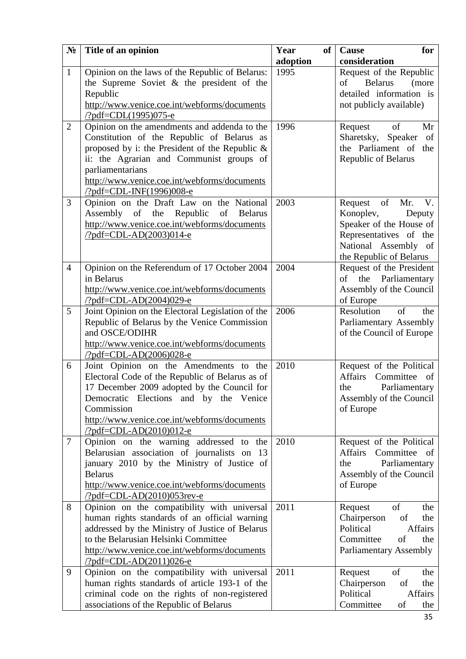| $N_2$          | Title of an opinion                                                                                                                                                                                                                                                                                | Year<br>of<br>adoption | Cause<br>for<br>consideration                                                                                                                             |
|----------------|----------------------------------------------------------------------------------------------------------------------------------------------------------------------------------------------------------------------------------------------------------------------------------------------------|------------------------|-----------------------------------------------------------------------------------------------------------------------------------------------------------|
| $\mathbf{1}$   | Opinion on the laws of the Republic of Belarus:<br>the Supreme Soviet $\&$ the president of the<br>Republic<br>http://www.venice.coe.int/webforms/documents<br>/?pdf=CDL(1995)075-e                                                                                                                | 1995                   | Request of the Republic<br>of<br><b>Belarus</b><br>(more<br>detailed information is<br>not publicly available)                                            |
| $\overline{2}$ | Opinion on the amendments and addenda to the<br>Constitution of the Republic of Belarus as<br>proposed by i: the President of the Republic $\&$<br>ii: the Agrarian and Communist groups of<br>parliamentarians<br>http://www.venice.coe.int/webforms/documents<br><u>/?pdf=CDL-INF(1996)008-e</u> | 1996                   | Request<br>of<br>Mr<br>Sharetsky, Speaker<br>of<br>the Parliament of the<br>Republic of Belarus                                                           |
| 3              | Opinion on the Draft Law on the National<br>Assembly<br>of<br>Republic<br>the<br>of<br><b>Belarus</b><br>http://www.venice.coe.int/webforms/documents<br>$\frac{7}{2}pdf = CDL - AD(2003)014 - e$                                                                                                  | 2003                   | of<br>Mr.<br>V.<br>Request<br>Konoplev,<br>Deputy<br>Speaker of the House of<br>Representatives of the<br>National Assembly of<br>the Republic of Belarus |
| $\overline{4}$ | Opinion on the Referendum of 17 October 2004<br>in Belarus<br>http://www.venice.coe.int/webforms/documents<br>/?pdf=CDL-AD(2004)029-e                                                                                                                                                              | 2004                   | Request of the President<br>of the Parliamentary<br>Assembly of the Council<br>of Europe                                                                  |
| 5              | Joint Opinion on the Electoral Legislation of the<br>Republic of Belarus by the Venice Commission<br>and OSCE/ODIHR<br>http://www.yenice.coe.int/webforms/documents<br>$\frac{7}{2}pdf = CDL - AD(2006)028 - e$                                                                                    | 2006                   | Resolution<br>of<br>the<br>Parliamentary Assembly<br>of the Council of Europe                                                                             |
| 6              | Joint Opinion on the Amendments to the<br>Electoral Code of the Republic of Belarus as of<br>17 December 2009 adopted by the Council for<br>Democratic Elections and by the Venice<br>Commission<br>http://www.yenice.coe.int/webforms/documents<br><u>/?pdf=CDL-AD(2010)012-e</u>                 | 2010                   | Request of the Political<br><b>Affairs</b><br>Committee<br>οf<br>Parliamentary<br>the<br>Assembly of the Council<br>of Europe                             |
| $\tau$         | Opinion on the warning addressed to<br>the<br>Belarusian association of journalists on<br>13<br>january 2010 by the Ministry of Justice of<br><b>Belarus</b><br>http://www.venice.coe.int/webforms/documents<br>$\frac{?pdf=CDL-AD(2010)053rev-e}{?}$                                              | 2010                   | Request of the Political<br>Committee<br><b>Affairs</b><br>- of<br>Parliamentary<br>the<br>Assembly of the Council<br>of Europe                           |
| 8              | Opinion on the compatibility with universal<br>human rights standards of an official warning<br>addressed by the Ministry of Justice of Belarus<br>to the Belarusian Helsinki Committee<br>http://www.venice.coe.int/webforms/documents<br>/?pdf=CDL-AD(2011)026-e                                 | 2011                   | of<br>Request<br>the<br>Chairperson<br>of<br>the<br>Political<br><b>Affairs</b><br>Committee<br>of<br>the<br><b>Parliamentary Assembly</b>                |
| 9              | Opinion on the compatibility with universal<br>human rights standards of article 193-1 of the<br>criminal code on the rights of non-registered<br>associations of the Republic of Belarus                                                                                                          | 2011                   | of<br>Request<br>the<br>Chairperson<br>of<br>the<br>Political<br><b>Affairs</b><br>Committee<br>of<br>the                                                 |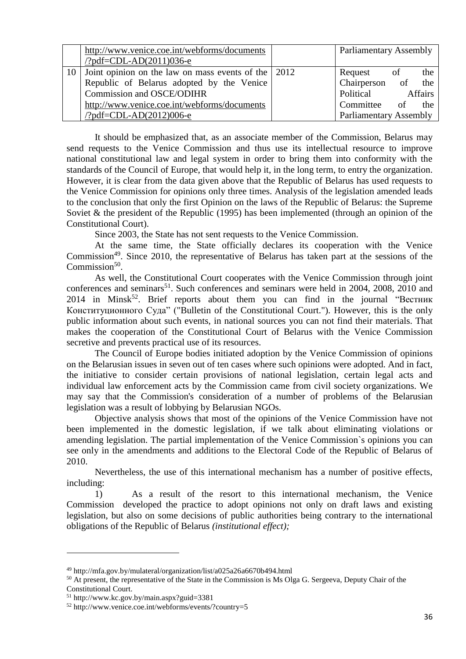| http://www.venice.coe.int/webforms/documents<br>$\frac{7}{9}$ df=CDL-AD $(2011)036$ -e | <b>Parliamentary Assembly</b> |         |     |
|----------------------------------------------------------------------------------------|-------------------------------|---------|-----|
| Joint opinion on the law on mass events of the   2012                                  | Request                       | of      | the |
| Republic of Belarus adopted by the Venice                                              | Chairperson of the            |         |     |
| Commission and OSCE/ODIHR                                                              | Political                     | Affairs |     |
| http://www.venice.coe.int/webforms/documents                                           | Committee of the              |         |     |
| $\frac{\text{?pdf} = CDL - AD(2012)}{006 - e}$                                         | <b>Parliamentary Assembly</b> |         |     |

It should be emphasized that, as an associate member of the Commission, Belarus may send requests to the Venice Commission and thus use its intellectual resource to improve national constitutional law and legal system in order to bring them into conformity with the standards of the Council of Europe, that would help it, in the long term, to entry the organization. However, it is clear from the data given above that the Republic of Belarus has used requests to the Venice Commission for opinions only three times. Analysis of the legislation amended leads to the conclusion that only the first Opinion on the laws of the Republic of Belarus: the Supreme Soviet & the president of the Republic (1995) has been implemented (through an opinion of the Constitutional Court).

Since 2003, the State has not sent requests to the Venice Commission.

At the same time, the State officially declares its cooperation with the Venice Commission<sup>49</sup>. Since 2010, the representative of Belarus has taken part at the sessions of the Commission<sup>50</sup>.

As well, the Constitutional Court cooperates with the Venice Commission through joint conferences and seminars<sup>51</sup>. Such conferences and seminars were held in 2004, 2008, 2010 and  $2014$  in Minsk<sup>52</sup>. Brief reports about them you can find in the journal "Вестник Конституционного Суда" ("Bulletin of the Constitutional Court."). However, this is the only public information about such events, in national sources you can not find their materials. That makes the cooperation of the Constitutional Court of Belarus with the Venice Commission secretive and prevents practical use of its resources.

The Council of Europe bodies initiated adoption by the Venice Commission of opinions on the Belarusian issues in seven out of ten cases where such opinions were adopted. And in fact, the initiative to consider certain provisions of national legislation, certain legal acts and individual law enforcement acts by the Commission came from civil society organizations. We may say that the Commission's consideration of a number of problems of the Belarusian legislation was a result of lobbying by Belarusian NGOs.

Objective analysis shows that most of the opinions of the Venice Commission have not been implemented in the domestic legislation, if we talk about eliminating violations or amending legislation. The partial implementation of the Venice Commission`s opinions you can see only in the amendments and additions to the Electoral Code of the Republic of Belarus of 2010.

Nevertheless, the use of this international mechanism has a number of positive effects, including:

1) As a result of the resort to this international mechanism, the Venice Commission developed the practice to adopt opinions not only on draft laws and existing legislation, but also on some decisions of public authorities being contrary to the international obligations of the Republic of Belarus *(institutional effect);*

1

<sup>49</sup> http://mfa.gov.by/mulateral/organization/list/a025a26a6670b494.html

<sup>&</sup>lt;sup>50</sup> At present, the representative of the State in the Commission is Ms Olga G. Sergeeva, Deputy Chair of the Constitutional Court.

<sup>51</sup> http://www.kc.gov.by/main.aspx?guid=3381

<sup>52</sup> http://www.venice.coe.int/webforms/events/?country=5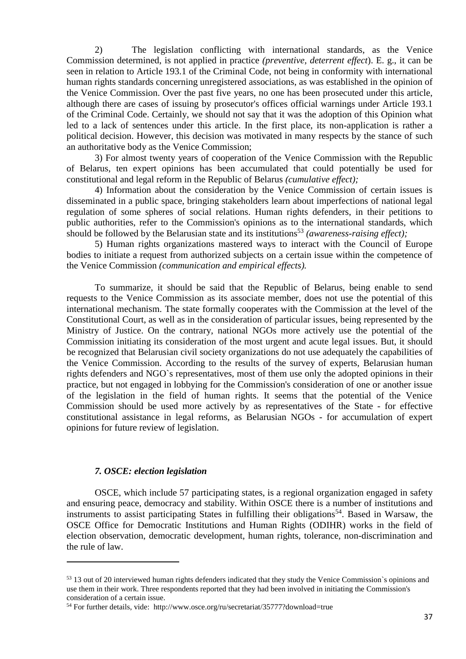2) The legislation conflicting with international standards, as the Venice Commission determined, is not applied in practice *(preventive, deterrent effect*). E. g., it can be seen in relation to Article 193.1 of the Criminal Code, not being in conformity with international human rights standards concerning unregistered associations, as was established in the opinion of the Venice Commission. Over the past five years, no one has been prosecuted under this article, although there are cases of issuing by prosecutor's offices official warnings under Article 193.1 of the Criminal Code. Certainly, we should not say that it was the adoption of this Opinion what led to a lack of sentences under this article. In the first place, its non-application is rather a political decision. However, this decision was motivated in many respects by the stance of such an authoritative body as the Venice Commission;

3) For almost twenty years of cooperation of the Venice Commission with the Republic of Belarus, ten expert opinions has been accumulated that could potentially be used for constitutional and legal reform in the Republic of Belarus *(cumulative effect);*

4) Information about the consideration by the Venice Commission of certain issues is disseminated in a public space, bringing stakeholders learn about imperfections of national legal regulation of some spheres of social relations. Human rights defenders, in their petitions to public authorities, refer to the Commission's opinions as to the international standards, which should be followed by the Belarusian state and its institutions<sup>53</sup> *(awareness-raising effect)*;

5) Human rights organizations mastered ways to interact with the Council of Europe bodies to initiate a request from authorized subjects on a certain issue within the competence of the Venice Commission *(communication and empirical effects).*

To summarize, it should be said that the Republic of Belarus, being enable to send requests to the Venice Commission as its associate member, does not use the potential of this international mechanism. The state formally cooperates with the Commission at the level of the Constitutional Court, as well as in the consideration of particular issues, being represented by the Ministry of Justice. On the contrary, national NGOs more actively use the potential of the Commission initiating its consideration of the most urgent and acute legal issues. But, it should be recognized that Belarusian civil society organizations do not use adequately the capabilities of the Venice Commission. According to the results of the survey of experts, Belarusian human rights defenders and NGO`s representatives, most of them use only the adopted opinions in their practice, but not engaged in lobbying for the Commission's consideration of one or another issue of the legislation in the field of human rights. It seems that the potential of the Venice Commission should be used more actively by as representatives of the State - for effective constitutional assistance in legal reforms, as Belarusian NGOs - for accumulation of expert opinions for future review of legislation.

#### *7. OSCE: election legislation*

**.** 

OSCE, which include 57 participating states, is a regional organization engaged in safety and ensuring peace, democracy and stability. Within OSCE there is a number of institutions and instruments to assist participating States in fulfilling their obligations<sup>54</sup>. Based in Warsaw, the OSCE Office for Democratic Institutions and Human Rights (ODIHR) works in the field of election observation, democratic development, human rights, tolerance, non-discrimination and the rule of law.

<sup>&</sup>lt;sup>53</sup> 13 out of 20 interviewed human rights defenders indicated that they study the Venice Commission's opinions and use them in their work. Three respondents reported that they had been involved in initiating the Commission's consideration of a certain issue.

<sup>54</sup> For further details, vide: http://www.osce.org/ru/secretariat/35777?download=true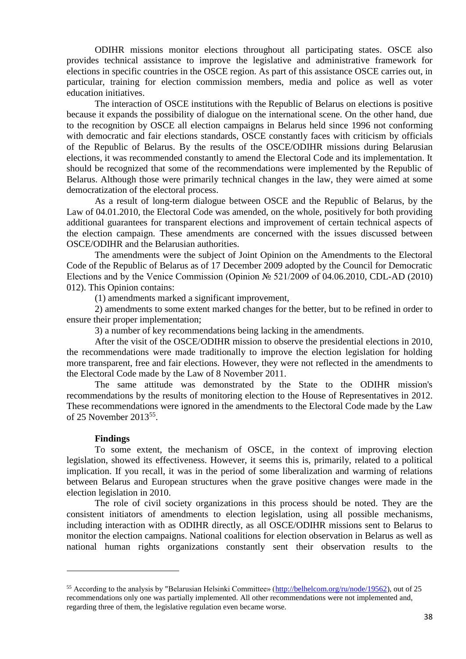ODIHR missions monitor elections throughout all participating states. OSCE also provides technical assistance to improve the legislative and administrative framework for elections in specific countries in the OSCE region. As part of this assistance OSCE carries out, in particular, training for election commission members, media and police as well as voter education initiatives.

The interaction of OSCE institutions with the Republic of Belarus on elections is positive because it expands the possibility of dialogue on the international scene. On the other hand, due to the recognition by OSCE all election campaigns in Belarus held since 1996 not conforming with democratic and fair elections standards, OSCE constantly faces with criticism by officials of the Republic of Belarus. By the results of the OSCE/ODIHR missions during Belarusian elections, it was recommended constantly to amend the Electoral Code and its implementation. It should be recognized that some of the recommendations were implemented by the Republic of Belarus. Although those were primarily technical changes in the law, they were aimed at some democratization of the electoral process.

As a result of long-term dialogue between OSCE and the Republic of Belarus, by the Law of 04.01.2010, the Electoral Code was amended, on the whole, positively for both providing additional guarantees for transparent elections and improvement of certain technical aspects of the election campaign. These amendments are concerned with the issues discussed between OSCE/ODIHR and the Belarusian authorities.

The amendments were the subject of Joint Opinion on the Amendments to the Electoral Code of the Republic of Belarus as of 17 December 2009 adopted by the Council for Democratic Elections and by the Venice Commission (Opinion № 521/2009 of 04.06.2010, CDL-AD (2010) 012). This Opinion contains:

(1) amendments marked a significant improvement,

2) amendments to some extent marked changes for the better, but to be refined in order to ensure their proper implementation;

3) a number of key recommendations being lacking in the amendments.

After the visit of the OSCE/ODIHR mission to observe the presidential elections in 2010, the recommendations were made traditionally to improve the election legislation for holding more transparent, free and fair elections. However, they were not reflected in the amendments to the Electoral Code made by the Law of 8 November 2011.

The same attitude was demonstrated by the State to the ODIHR mission's recommendations by the results of monitoring election to the House of Representatives in 2012. These recommendations were ignored in the amendments to the Electoral Code made by the Law of 25 November 2013<sup>55</sup>.

#### **Findings**

1

To some extent, the mechanism of OSCE, in the context of improving election legislation, showed its effectiveness. However, it seems this is, primarily, related to a political implication. If you recall, it was in the period of some liberalization and warming of relations between Belarus and European structures when the grave positive changes were made in the election legislation in 2010.

The role of civil society organizations in this process should be noted. They are the consistent initiators of amendments to election legislation, using all possible mechanisms, including interaction with as ODIHR directly, as all OSCE/ODIHR missions sent to Belarus to monitor the election campaigns. National coalitions for election observation in Belarus as well as national human rights organizations constantly sent their observation results to the

<sup>55</sup> According to the analysis by "Belarusian Helsinki Committee» [\(http://belhelcom.org/ru/node/19562\)](http://belhelcom.org/ru/node/19562), out of 25 recommendations only one was partially implemented. All other recommendations were not implemented and, regarding three of them, the legislative regulation even became worse.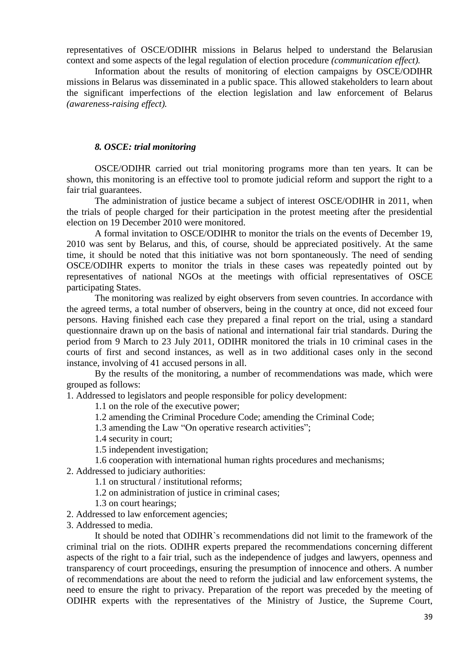representatives of OSCE/ODIHR missions in Belarus helped to understand the Belarusian context and some aspects of the legal regulation of election procedure *(communication effect).*

Information about the results of monitoring of election campaigns by OSCE/ODIHR missions in Belarus was disseminated in a public space. This allowed stakeholders to learn about the significant imperfections of the election legislation and law enforcement of Belarus *(awareness-raising effect).*

#### *8. OSCE: trial monitoring*

OSCE/ODIHR carried out trial monitoring programs more than ten years. It can be shown, this monitoring is an effective tool to promote judicial reform and support the right to a fair trial guarantees.

The administration of justice became a subject of interest OSCE/ODIHR in 2011, when the trials of people charged for their participation in the protest meeting after the presidential election on 19 December 2010 were monitored.

A formal invitation to OSCE/ODIHR to monitor the trials on the events of December 19, 2010 was sent by Belarus, and this, of course, should be appreciated positively. At the same time, it should be noted that this initiative was not born spontaneously. The need of sending OSCE/ODIHR experts to monitor the trials in these cases was repeatedly pointed out by representatives of national NGOs at the meetings with official representatives of OSCE participating States.

The monitoring was realized by eight observers from seven countries. In accordance with the agreed terms, a total number of observers, being in the country at once, did not exceed four persons. Having finished each case they prepared a final report on the trial, using a standard questionnaire drawn up on the basis of national and international fair trial standards. During the period from 9 March to 23 July 2011, ODIHR monitored the trials in 10 criminal cases in the courts of first and second instances, as well as in two additional cases only in the second instance, involving of 41 accused persons in all.

By the results of the monitoring, a number of recommendations was made, which were grouped as follows:

1. Addressed to legislators and people responsible for policy development:

1.1 on the role of the executive power;

1.2 amending the Criminal Procedure Code; amending the Criminal Code;

1.3 amending the Law "On operative research activities";

1.4 security in court;

1.5 independent investigation;

1.6 cooperation with international human rights procedures and mechanisms;

2. Addressed to judiciary authorities:

1.1 on structural / institutional reforms;

1.2 on administration of justice in criminal cases;

1.3 on court hearings;

2. Addressed to law enforcement agencies;

3. Addressed to media.

It should be noted that ODIHR`s recommendations did not limit to the framework of the criminal trial on the riots. ODIHR experts prepared the recommendations concerning different aspects of the right to a fair trial, such as the independence of judges and lawyers, openness and transparency of court proceedings, ensuring the presumption of innocence and others. A number of recommendations are about the need to reform the judicial and law enforcement systems, the need to ensure the right to privacy. Preparation of the report was preceded by the meeting of ODIHR experts with the representatives of the Ministry of Justice, the Supreme Court,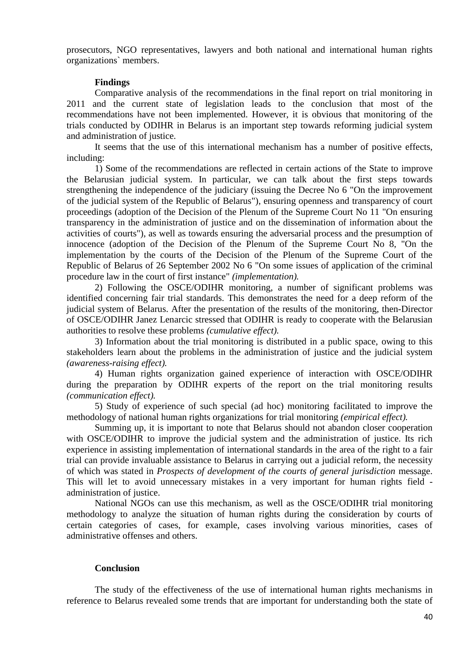prosecutors, NGO representatives, lawyers and both national and international human rights organizations` members.

#### **Findings**

Comparative analysis of the recommendations in the final report on trial monitoring in 2011 and the current state of legislation leads to the conclusion that most of the recommendations have not been implemented. However, it is obvious that monitoring of the trials conducted by ODIHR in Belarus is an important step towards reforming judicial system and administration of justice.

It seems that the use of this international mechanism has a number of positive effects, including:

1) Some of the recommendations are reflected in certain actions of the State to improve the Belarusian judicial system. In particular, we can talk about the first steps towards strengthening the independence of the judiciary (issuing the Decree No 6 "On the improvement of the judicial system of the Republic of Belarus"), ensuring openness and transparency of court proceedings (adoption of the Decision of the Plenum of the Supreme Court No 11 "On ensuring transparency in the administration of justice and on the dissemination of information about the activities of courts"), as well as towards ensuring the adversarial process and the presumption of innocence (adoption of the Decision of the Plenum of the Supreme Court No 8, "On the implementation by the courts of the Decision of the Plenum of the Supreme Court of the Republic of Belarus of 26 September 2002 No 6 "On some issues of application of the criminal procedure law in the court of first instance" *(implementation).*

2) Following the OSCE/ODIHR monitoring, a number of significant problems was identified concerning fair trial standards. This demonstrates the need for a deep reform of the judicial system of Belarus. After the presentation of the results of the monitoring, then-Director of OSCE/ODIHR Janez Lenarcic stressed that ODIHR is ready to cooperate with the Belarusian authorities to resolve these problems *(cumulative effect).*

3) Information about the trial monitoring is distributed in a public space, owing to this stakeholders learn about the problems in the administration of justice and the judicial system *(awareness-raising effect).*

4) Human rights organization gained experience of interaction with OSCE/ODIHR during the preparation by ODIHR experts of the report on the trial monitoring results *(communication effect).*

5) Study of experience of such special (ad hoc) monitoring facilitated to improve the methodology of national human rights organizations for trial monitoring *(empirical effect).*

Summing up, it is important to note that Belarus should not abandon closer cooperation with OSCE/ODIHR to improve the judicial system and the administration of justice. Its rich experience in assisting implementation of international standards in the area of the right to a fair trial can provide invaluable assistance to Belarus in carrying out a judicial reform, the necessity of which was stated in *Prospects of development of the courts of general jurisdiction* message. This will let to avoid unnecessary mistakes in a very important for human rights field administration of justice.

National NGOs can use this mechanism, as well as the OSCE/ODIHR trial monitoring methodology to analyze the situation of human rights during the consideration by courts of certain categories of cases, for example, cases involving various minorities, cases of administrative offenses and others.

#### **Conclusion**

The study of the effectiveness of the use of international human rights mechanisms in reference to Belarus revealed some trends that are important for understanding both the state of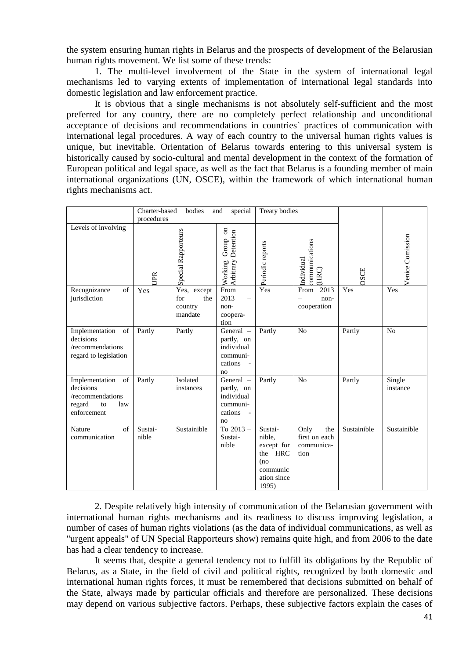the system ensuring human rights in Belarus and the prospects of development of the Belarusian human rights movement. We list some of these trends:

1. The multi-level involvement of the State in the system of international legal mechanisms led to varying extents of implementation of international legal standards into domestic legislation and law enforcement practice.

It is obvious that a single mechanisms is not absolutely self-sufficient and the most preferred for any country, there are no completely perfect relationship and unconditional acceptance of decisions and recommendations in countries` practices of communication with international legal procedures. A way of each country to the universal human rights values is unique, but inevitable. Orientation of Belarus towards entering to this universal system is historically caused by socio-cultural and mental development in the context of the formation of European political and legal space, as well as the fact that Belarus is a founding member of main international organizations (UN, OSCE), within the framework of which international human rights mechanisms act.

|                                                                                             | Charter-based    | bodies                                             | special<br>and                                                     | <b>Treaty bodies</b>                                                                  |                                                    |             |                    |
|---------------------------------------------------------------------------------------------|------------------|----------------------------------------------------|--------------------------------------------------------------------|---------------------------------------------------------------------------------------|----------------------------------------------------|-------------|--------------------|
| procedures                                                                                  |                  |                                                    |                                                                    |                                                                                       |                                                    |             |                    |
| Levels of involving                                                                         | <b>JPR</b>       | <b>Special Rapporteurs</b>                         | $_{\rm sn}$<br>Detention<br>Group<br>Arbitrary<br>Working          | Periodic reports                                                                      | communications<br>Individual<br>(HRC)              | OSCE        | Venice Comission   |
| Recognizance<br>of<br>jurisdiction                                                          | Yes              | Yes,<br>except<br>for<br>the<br>country<br>mandate | From<br>2013<br>non-<br>coopera-<br>tion                           | Yes                                                                                   | 2013<br>From<br>non-<br>cooperation                | Yes         | Yes                |
| of<br>Implementation<br>decisions<br>/recommendations<br>regard to legislation              | Partly           | Partly                                             | General -<br>partly, on<br>individual<br>communi-<br>cations<br>no | Partly                                                                                | N <sub>o</sub>                                     | Partly      | N <sub>o</sub>     |
| Implementation<br>of<br>decisions<br>/recommendations<br>regard<br>to<br>law<br>enforcement | Partly           | Isolated<br>instances                              | General -<br>partly, on<br>individual<br>communi-<br>cations<br>no | Partly                                                                                | N <sub>o</sub>                                     | Partly      | Single<br>instance |
| of<br>Nature<br>communication                                                               | Sustai-<br>nible | Sustainible                                        | To 2013-<br>Sustai-<br>nible                                       | Sustai-<br>nible,<br>except for<br>the HRC<br>(no<br>communic<br>ation since<br>1995) | Only<br>the<br>first on each<br>communica-<br>tion | Sustainible | Sustainible        |

2. Despite relatively high intensity of communication of the Belarusian government with international human rights mechanisms and its readiness to discuss improving legislation, a number of cases of human rights violations (as the data of individual communications, as well as "urgent appeals" of UN Special Rapporteurs show) remains quite high, and from 2006 to the date has had a clear tendency to increase.

It seems that, despite a general tendency not to fulfill its obligations by the Republic of Belarus, as a State, in the field of civil and political rights, recognized by both domestic and international human rights forces, it must be remembered that decisions submitted on behalf of the State, always made by particular officials and therefore are personalized. These decisions may depend on various subjective factors. Perhaps, these subjective factors explain the cases of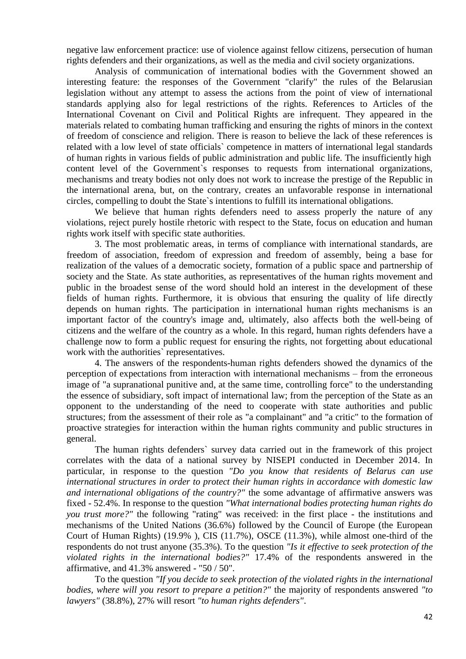negative law enforcement practice: use of violence against fellow citizens, persecution of human rights defenders and their organizations, as well as the media and civil society organizations.

Analysis of communication of international bodies with the Government showed an interesting feature: the responses of the Government "clarify" the rules of the Belarusian legislation without any attempt to assess the actions from the point of view of international standards applying also for legal restrictions of the rights. References to Articles of the International Covenant on Civil and Political Rights are infrequent. They appeared in the materials related to combating human trafficking and ensuring the rights of minors in the context of freedom of conscience and religion. There is reason to believe the lack of these references is related with a low level of state officials` competence in matters of international legal standards of human rights in various fields of public administration and public life. The insufficiently high content level of the Government`s responses to requests from international organizations, mechanisms and treaty bodies not only does not work to increase the prestige of the Republic in the international arena, but, on the contrary, creates an unfavorable response in international circles, compelling to doubt the State`s intentions to fulfill its international obligations.

We believe that human rights defenders need to assess properly the nature of any violations, reject purely hostile rhetoric with respect to the State, focus on education and human rights work itself with specific state authorities.

3. The most problematic areas, in terms of compliance with international standards, are freedom of association, freedom of expression and freedom of assembly, being a base for realization of the values of a democratic society, formation of a public space and partnership of society and the State. As state authorities, as representatives of the human rights movement and public in the broadest sense of the word should hold an interest in the development of these fields of human rights. Furthermore, it is obvious that ensuring the quality of life directly depends on human rights. The participation in international human rights mechanisms is an important factor of the country's image and, ultimately, also affects both the well-being of citizens and the welfare of the country as a whole. In this regard, human rights defenders have a challenge now to form a public request for ensuring the rights, not forgetting about educational work with the authorities` representatives.

4. The answers of the respondents-human rights defenders showed the dynamics of the perception of expectations from interaction with international mechanisms – from the erroneous image of "a supranational punitive and, at the same time, controlling force" to the understanding the essence of subsidiary, soft impact of international law; from the perception of the State as an opponent to the understanding of the need to cooperate with state authorities and public structures; from the assessment of their role as "a complainant" and "a critic" to the formation of proactive strategies for interaction within the human rights community and public structures in general.

The human rights defenders` survey data carried out in the framework of this project correlates with the data of a national survey by NISEPI conducted in December 2014. In particular, in response to the question *"Do you know that residents of Belarus can use international structures in order to protect their human rights in accordance with domestic law and international obligations of the country?"* the some advantage of affirmative answers was fixed - 52.4%. In response to the question *"What international bodies protecting human rights do you trust more?"* the following "rating" was received: in the first place - the institutions and mechanisms of the United Nations (36.6%) followed by the Council of Europe (the European Court of Human Rights) (19.9% ), CIS (11.7%), OSCE (11.3%), while almost one-third of the respondents do not trust anyone (35.3%). To the question *"Is it effective to seek protection of the violated rights in the international bodies?"* 17.4% of the respondents answered in the affirmative, and 41.3% answered - "50 / 50".

To the question *"If you decide to seek protection of the violated rights in the international bodies, where will you resort to prepare a petition?"* the majority of respondents answered *"to lawyers"* (38.8%), 27% will resort *"to human rights defenders"*.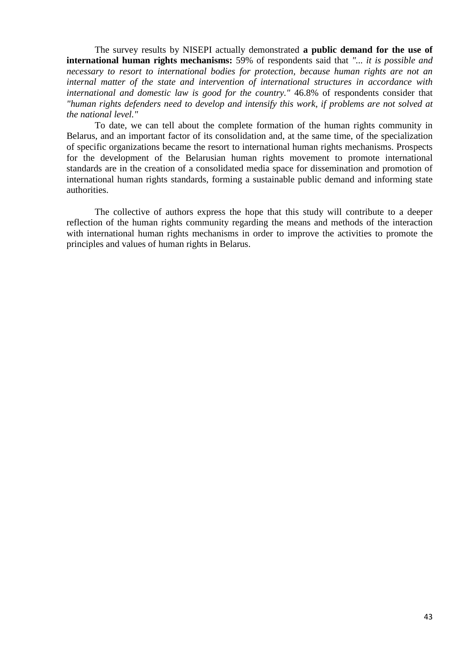The survey results by NISEPI actually demonstrated **a public demand for the use of international human rights mechanisms:** 59% of respondents said that *"... it is possible and necessary to resort to international bodies for protection, because human rights are not an internal matter of the state and intervention of international structures in accordance with international and domestic law is good for the country."* 46.8% of respondents consider that *"human rights defenders need to develop and intensify this work, if problems are not solved at the national level."*

To date, we can tell about the complete formation of the human rights community in Belarus, and an important factor of its consolidation and, at the same time, of the specialization of specific organizations became the resort to international human rights mechanisms. Prospects for the development of the Belarusian human rights movement to promote international standards are in the creation of a consolidated media space for dissemination and promotion of international human rights standards, forming a sustainable public demand and informing state authorities.

The collective of authors express the hope that this study will contribute to a deeper reflection of the human rights community regarding the means and methods of the interaction with international human rights mechanisms in order to improve the activities to promote the principles and values of human rights in Belarus.